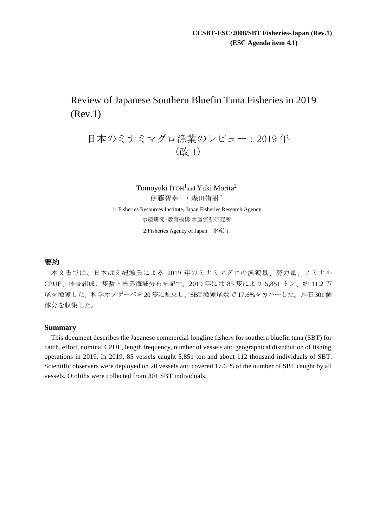# Review of Japanese Southern Bluefin Tuna Fisheries in 2019 (Rev.1)

# 日本のミナミマグロ漁業のレビュー:2019 年 (改 1)

Tomoyuki ITOH<sup>1</sup>and Yuki Morita<sup>2</sup> 伊藤智幸 <sup>1</sup>・森田侑樹 <sup>2</sup> 1: Fisheries Resources Institute, Japan Fisheries Research Agency 水産研究・教育機構 水産資源研究所 2:Fisheries Agency of Japan 水産庁

# 要約

本文書では、日本はえ縄漁業による 2019 年のミナミマグロの漁獲量、努力量、ノミナル CPUE、体長組成、隻数と操業海域分布を記す。2019 年には 85 隻により 5,851 トン、約 11.2 万 尾を漁獲した。科学オブザーバを 20隻に配乗し、SBT漁獲尾数で 17.6%をカバーした。耳石 301個 体分を収集した。

# **Summary**

This document describes the Japanese commercial longline fishery for southern bluefin tuna (SBT) for catch, effort, nominal CPUE, length frequency, number of vessels and geographical distribution of fishing operations in 2019. In 2019, 85 vessels caught 5,851 ton and about 112 thousand individuals of SBT. Scientific observers were deployed on 20 vessels and covered 17.6 % of the number of SBT caught by all vessels. Otoliths were collected from 301 SBT individuals.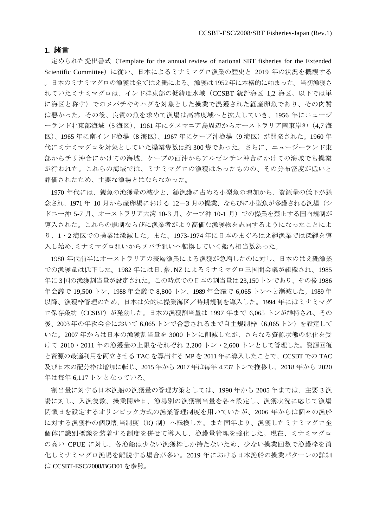# **1.** 緒言

定められた提出書式(Template for the annual review of national SBT fisheries for the Extended Scientific Committee)に従い、日本によるミナミマグロ漁業の歴史と 2019年の状況を概観する 。日本のミナミマグロの漁獲は全てはえ縄による。漁獲は1952年に本格的に始まった。当初漁獲さ れていたミナミマグロは、インド洋東部の低緯度水域(CCSBT 統計海区 1,2 海区。以下では単 に海区と称す)でのメバチやキハダを対象とした操業で混獲された経産卵魚であり、その肉質 は悪かった。その後、良質の魚を求めて漁場は高緯度域へと拡大していき、1956 年にニュージ ーランド北東部海域(5 海区)、1961 年にタスマニア島周辺からオーストラリア南東岸沖(4,7 海 区)、1965 年に南インド漁場(8 海区)、1967 年にケープ沖漁場(9 海区)が開発された。1960 年 代にミナミマグロを対象としていた操業隻数は約 300 隻であった。さらに、ニュージーランド東 部からチリ沖合にかけての海域、ケープの西沖からアルゼンチン沖合にかけての海域でも操業 が行われた。これらの海域では、ミナミマグロの漁獲はあったものの、その分布密度が低いと 評価されたため、主要な漁場とはならなかった。

1970 年代には、親魚の漁獲量の減少と、総漁獲に占める小型魚の増加から、資源量の低下が懸 念され、1971 年 10 月から産卵場における 12-3 月の操業、ならびに小型魚が多獲される漁場(シ ドニー沖 5-7 月、オーストラリア大湾 10-3 月、ケープ沖 10-1 月)での操業を禁止する国内規制が 導入された。これらの規制ならびに漁業者がより高価な漁獲物を志向するようになったことによ り、1・2 海区での操業は激減した。また、1973-1974 年に日本のまぐろはえ縄漁業では深縄を導 入し始め、ミナミマグロ狙いからメバチ狙いへ転換していく船も相当数あった。

1980 年代前半にオーストラリアの表層漁業による漁獲が急増したのに対し、日本のはえ縄漁業 での漁獲量は低下した。1982 年には日、豪、NZ によるミナミマグロ三国間会議が組織され、1985 年に 3 国の漁獲割当量が設定された。この時点での日本の割当量は 23,150 トンであり、その後1986 年会議で 19,500 トン、1988 年会議で 8,800 トン、1989 年会議で 6,065 トンへと漸減した。1989 年 以降、漁獲枠管理のため、日本は公的に操業海区/時期規制を導入した。1994 年にはミナミマグ ロ保存条約(CCSBT)が発効した。日本の漁獲割当量は 1997 年まで 6,065 トンが維持され、その 後、2003 年の年次会合において 6,065 トンで合意されるまで自主規制枠(6,065 トン)を設定して いた。2007 年からは日本の漁獲割当量を 3000 トンに削減したが、さらなる資源状態の悪化を受 けて 2010・2011 年の漁獲量の上限をそれぞれ 2,200 トン・2,600 トンとして管理した。資源回復 と資源の最適利用を両立させる TAC を算出する MP を 2011 年に導入したことで、CCSBT での TAC 及び日本の配分枠は増加に転じ、2015 年から 2017 年は毎年 4,737 トンで推移し、2018 年から 2020 年は毎年 6,117 トンとなっている。

割当量に対する日本漁船の漁獲量の管理方策としては、1990 年から 2005 年までは、主要 3 漁 場に対し、入漁隻数、操業開始日、漁場別の漁獲割当量を各々設定し、漁獲状況に応じて漁場 閉鎖日を設定するオリンピック方式の漁業管理制度を用いていたが、2006 年からは個々の漁船 に対する漁獲枠の個別割当制度(IQ 制)へ転換した。また同年より、漁獲したミナミマグロ全 個体に識別標識を装着する制度を併せて導入し、漁獲量管理を強化した。現在、ミナミマグロ の高い CPUE に対し、各漁船は少ない漁獲枠しか持たないため、少ない操業回数で漁獲枠を消 化しミナミマグロ漁場を離脱する場合が多い。2019 年における日本漁船の操業パターンの詳細 は CCSBT-ESC/2008/BGD01 を参照。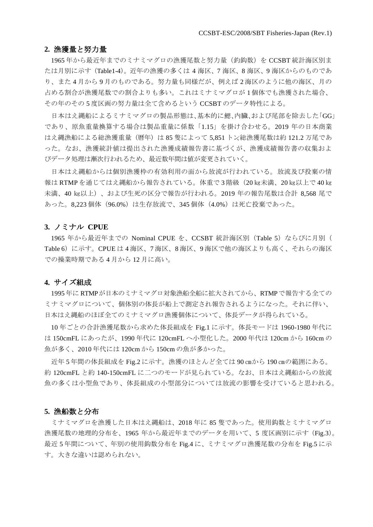### **2.** 漁獲量と努力量

1965 年から最近年までのミナミマグロの漁獲尾数と努力量(釣鈎数)を CCSBT 統計海区別ま たは月別に示す(Table1-4)。近年の漁獲の多くは 4 海区、7 海区、8 海区、9 海区からのものであ り、また 4 月から 9 月のものである。努力量も同様だが、例えば 2 海区のように他の海区、月の 占める割合が漁獲尾数での割合よりも多い。これはミナミマグロが 1 個体でも漁獲された場合、 その年のその 5 度区画の努力量は全て含めるという CCSBT のデータ特性による。

日本はえ縄船によるミナミマグロの製品形態は、基本的に鰓、内臓、および尾部を除去した「GG」 であり、原魚重量換算する場合は製品重量に係数「1.15」を掛け合わせる。2019 年の日本商業 はえ縄漁船による総漁獲重量(暦年)は 85 隻によって 5,851 トン総漁獲尾数は約 121.2 万尾であ った。なお、漁獲統計値は提出された漁獲成績報告書に基づくが、漁獲成績報告書の収集およ びデータ処理は漸次行われるため、最近数年間は値が変更されていく。

日本はえ縄船からは個別漁獲枠の有効利用の面から放流が行われている。放流及び投棄の情 報は RTMPを通じてはえ縄船から報告されている。体重で 3 階級 (20 ㎏未満、20 ㎏以上で 40 ㎏ 未満、40 ㎏以上)、および生死の区分で報告が行われる。2019 年の報告尾数は合計 8,568 尾で あった。8,223 個体(96.0%)は生存放流で、345 個体(4.0%)は死亡投棄であった。

#### **3.** ノミナル **CPUE**

1965 年から最近年までの Nominal CPUE を、CCSBT 統計海区別(Table 5)ならびに月別( Table 6)に示す。CPUE は 4 海区、7 海区、8 海区、9 海区で他の海区よりも高く、それらの海区 での操業時期である 4 月から 12 月に高い。

#### **4.** サイズ組成

1995 年に RTMPが日本のミナミマグロ対象漁船全船に拡大されてから、RTMPで報告する全ての ミナミマグロについて、個体別の体長が船上で測定され報告されるようになった。それに伴い、 日本はえ縄船のほぼ全てのミナミマグロ漁獲個体について、体長データが得られている。

10 年ごとの合計漁獲尾数から求めた体長組成を Fig.1 に示す。体長モードは 1960-1980 年代に は 150cmFL にあったが、1990 年代に 120cmFL へ小型化した。2000 年代は 120cm から 160cm の 魚が多く、2010 年代には 120cm から 150cm の魚が多かった。

近年 5 年間の体長組成を Fig.2 に示す。漁獲のほとんど全ては 90 ㎝から 190 ㎝の範囲にある。 約 120cmFL と約 140-150cmFL に二つのモードが見られている。なお、日本はえ縄船からの放流 魚の多くは小型魚であり、体長組成の小型部分については放流の影響を受けていると思われる。

#### **5.** 漁船数と分布

ミナミマグロを漁獲した日本はえ縄船は、2018 年に 85 隻であった。使用鈎数とミナミマグロ 漁獲尾数の地理的分布を、1965 年から最近年までのデータを用いて、5 度区画別に示す (Fig.3)。 最近 5 年間について、年別の使用鈎数分布を Fig.4 に、ミナミマグロ漁獲尾数の分布を Fig.5 に示 す。大きな違いは認められない。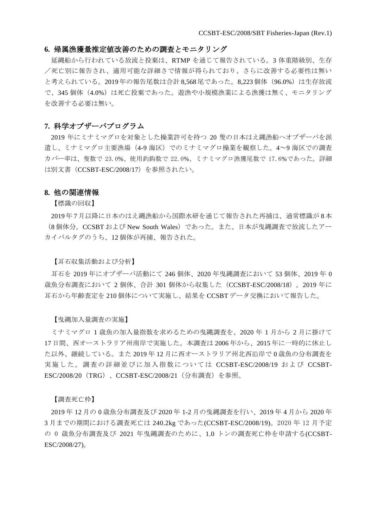#### **6.** 帰属漁獲量推定値改善のための調査とモニタリング

延縄船から行われている放流と投棄は、RTMP を通じて報告されている。3 体重階級別、生存 /死亡別に報告され、適用可能な詳細さで情報が得られており、さらに改善する必要性は無い と考えられている。2019年の報告尾数は合計 8.568 尾であった。8.223 個体 (96.0%)は生存放流 で、345 個体(4.0%)は死亡投棄であった。遊漁や小規模漁業による漁獲は無く、モニタリング を改善する必要は無い。

# **7.** 科学オブザーバプログラム

2019 年にミナミマグロを対象とした操業許可を持つ 20 隻の日本はえ縄漁船へオブザーバを派 遣し、ミナミマグロ主要漁場(4-9 海区)でのミナミマグロ操業を観察した。4~9 海区での調査 カバー率は、隻数で 23.0%、使用釣鈎数で 22.0%、ミナミマグロ漁獲尾数で 17.6%であった。詳細 は別文書(CCSBT-ESC/2008/17)を参照されたい。

#### **8.** 他の関連情報

【標識の回収】

2019 年 7 月以降に日本のはえ縄漁船から国際水研を通じて報告された再捕は、通常標識が 8 本 (8 個体分。CCSBT および New South Wales)であった。また、日本が曳縄調査で放流したアー カイバルタグのうち、12 個体が再捕、報告された。

#### 【耳石収集活動および分析】

耳石を 2019 年にオブザーバ活動にて 246 個体、2020 年曳縄調査において 53 個体、2019 年 0 歳魚分布調査において 2 個体、合計 301 個体から収集した(CCSBT-ESC/2008/18)。2019 年に 耳石から年齢査定を 210 個体について実施し、結果を CCSBT データ交換において報告した。

#### 【曳縄加入量調査の実施】

ミナミマグロ 1 歳魚の加入量指数を求めるための曳縄調査を、2020 年 1 月から 2 月に掛けて 17 日間、西オーストラリア州南岸で実施した。本調査は 2006 年から、2015 年に一時的に休止し た以外、継続している。また 2019 年 12 月に西オーストラリア州北西沿岸で 0 歳魚の分布調査を 実施した。調査の詳細並びに加入指数については CCSBT-ESC/2008/19 および CCSBT-ESC/2008/20 (TRG)、CCSBT-ESC/2008/21 (分布調査) を参照。

#### 【調査死亡枠】

2019 年 12 月の 0 歳魚分布調査及び 2020 年 1-2 月の曳縄調査を行い、2019 年 4 月から 2020 年 3 月までの期間における調査死亡は 240.2kg であった(CCSBT-ESC/2008/19)。2020 年 12 月予定 の 0 歳魚分布調査及び 2021 年曳縄調査のために、1.0 トンの調査死亡枠を申請する(CCSBT-ESC/2008/27)。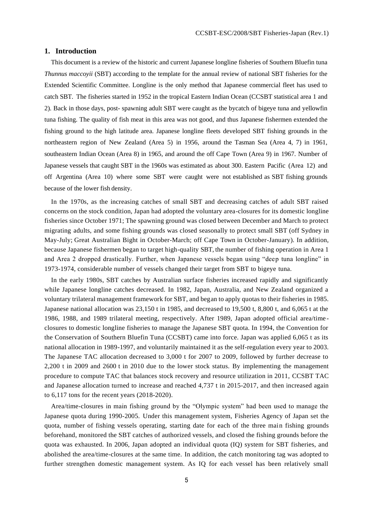# **1. Introduction**

This document is a review of the historic and current Japanese longline fisheries of Southern Bluefin tuna *Thunnus maccoyii* (SBT) according to the template for the annual review of national SBT fisheries for the Extended Scientific Committee. Longline is the only method that Japanese commercial fleet has used to catch SBT. The fisheries started in 1952 in the tropical Eastern Indian Ocean (CCSBT statistical area 1 and 2). Back in those days, post- spawning adult SBT were caught as the bycatch of bigeye tuna and yellowfin tuna fishing. The quality of fish meat in this area was not good, and thus Japanese fishermen extended the fishing ground to the high latitude area. Japanese longline fleets developed SBT fishing grounds in the northeastern region of New Zealand (Area 5) in 1956, around the Tasman Sea (Area 4, 7) in 1961, southeastern Indian Ocean (Area 8) in 1965, and around the off Cape Town (Area 9) in 1967. Number of Japanese vessels that caught SBT in the 1960s was estimated as about 300. Eastern Pacific (Area 12) and off Argentina (Area 10) where some SBT were caught were not established as SBT fishing grounds because of the lower fish density.

In the 1970s, as the increasing catches of small SBT and decreasing catches of adult SBT raised concerns on the stock condition, Japan had adopted the voluntary area-closures for its domestic longline fisheries since October 1971; The spawning ground was closed between December and March to protect migrating adults, and some fishing grounds was closed seasonally to protect small SBT (off Sydney in May-July; Great Australian Bight in October-March; off Cape Town in October-January). In addition, because Japanese fishermen began to target high-quality SBT, the number of fishing operation in Area 1 and Area 2 dropped drastically. Further, when Japanese vessels began using "deep tuna longline" in 1973-1974, considerable number of vessels changed their target from SBT to bigeye tuna.

In the early 1980s, SBT catches by Australian surface fisheries increased rapidly and significantly while Japanese longline catches decreased. In 1982, Japan, Australia, and New Zealand organized a voluntary trilateral management framework for SBT, and began to apply quotas to their fisheries in 1985. Japanese national allocation was 23,150 t in 1985, and decreased to 19,500 t, 8,800 t, and 6,065 t at the 1986, 1988, and 1989 trilateral meeting, respectively. After 1989, Japan adopted official area/time closures to domestic longline fisheries to manage the Japanese SBT quota. In 1994, the Convention for the Conservation of Southern Bluefin Tuna (CCSBT) came into force. Japan was applied 6,065 t as its national allocation in 1989-1997, and voluntarily maintained it as the self-regulation every year to 2003. The Japanese TAC allocation decreased to 3,000 t for 2007 to 2009, followed by further decrease to 2,200 t in 2009 and 2600 t in 2010 due to the lower stock status. By implementing the management procedure to compute TAC that balances stock recovery and resource utilization in 2011, CCSBT TAC and Japanese allocation turned to increase and reached 4,737 t in 2015-2017, and then increased again to 6,117 tons for the recent years (2018-2020).

Area/time-closures in main fishing ground by the "Olympic system" had been used to manage the Japanese quota during 1990-2005. Under this management system, Fisheries Agency of Japan set the quota, number of fishing vessels operating, starting date for each of the three main fishing grounds beforehand, monitored the SBT catches of authorized vessels, and closed the fishing grounds before the quota was exhausted. In 2006, Japan adopted an individual quota (IQ) system for SBT fisheries, and abolished the area/time-closures at the same time. In addition, the catch monitoring tag was adopted to further strengthen domestic management system. As IQ for each vessel has been relatively small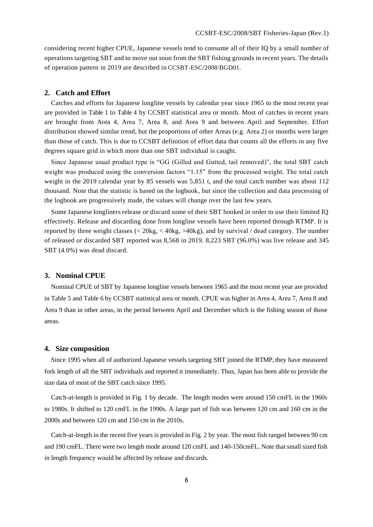considering recent higher CPUE, Japanese vessels tend to consume all of their IQ by a small number of operations targeting SBT and to move out soon from the SBT fishing grounds in recent years. The details of operation pattern in 2019 are described in CCSBT-ESC/2008/BGD01.

# **2. Catch and Effort**

Catches and efforts for Japanese longline vessels by calendar year since 1965 to the most recent year are provided in Table 1 to Table 4 by CCSBT statistical area or month. Most of catches in recent years are brought from Area 4, Area 7, Area 8, and Area 9 and between April and September. Effort distribution showed similar trend, but the proportions of other Areas (e.g. Area 2) or months were larger than those of catch. This is due to CCSBT definition of effort data that counts all the efforts in any five degrees square grid in which more than one SBT individual is caught.

Since Japanese usual product type is "GG (Gilled and Gutted, tail removed)", the total SBT catch weight was produced using the conversion factors "1.15" from the processed weight. The total catch weight in the 2019 calendar year by 85 vessels was 5,851 t, and the total catch number was about 112 thousand. Note that the statistic is based on the logbook, but since the collection and data processing of the logbook are progressively made, the values will change over the last few years.

Some Japanese longliners release or discard some of their SBT hooked in order to use their limited IQ effectively. Release and discarding done from longline vessels have been reported through RTMP. It is reported by three weight classes (< 20kg, < 40kg, >40kg), and by survival / dead category. The number of released or discarded SBT reported was 8,568 in 2019. 8,223 SBT (96.0%) was live release and 345 SBT (4.0%) was dead discard.

#### **3. Nominal CPUE**

Nominal CPUE of SBT by Japanese longline vessels between 1965 and the most recent year are provided in Table 5 and Table 6 by CCSBT statistical area or month. CPUE was higher in Area 4, Area 7, Area 8 and Area 9 than in other areas, in the period between April and December which is the fishing season of those areas.

# **4. Size composition**

Since 1995 when all of authorized Japanese vessels targeting SBT joined the RTMP, they have measured fork length of all the SBT individuals and reported it immediately. Thus, Japan has been able to provide the size data of most of the SBT catch since 1995.

Catch-at-length is provided in Fig. 1 by decade. The length modes were around 150 cmFL in the 1960s to 1980s. It shifted to 120 cmFL in the 1990s. A large part of fish was between 120 cm and 160 cm in the 2000s and between 120 cm and 150 cm in the 2010s.

Catch-at-length in the recent five years is provided in Fig. 2 by year. The most fish ranged between 90 cm and 190 cmFL. There were two length mode around 120 cmFL and 140-150cmFL. Note that small sized fish in length frequency would be affected by release and discards.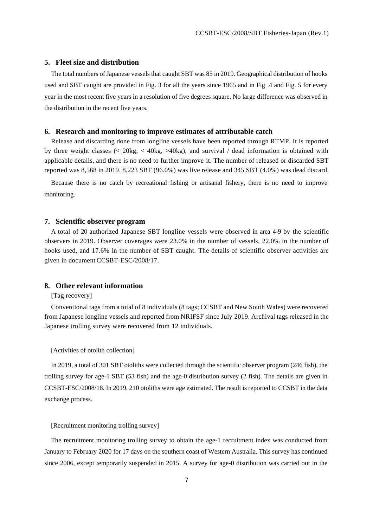### **5. Fleet size and distribution**

The total numbers of Japanese vessels that caught SBT was 85 in 2019. Geographical distribution of hooks used and SBT caught are provided in Fig. 3 for all the years since 1965 and in Fig .4 and Fig. 5 for every year in the most recent five years in a resolution of five degrees square. No large difference was observed in the distribution in the recent five years.

#### **6. Research and monitoring to improve estimates of attributable catch**

Release and discarding done from longline vessels have been reported through RTMP. It is reported by three weight classes  $\ll 20 \text{kg}$ ,  $\lt 40 \text{kg}$ ,  $gt 40 \text{kg}$ , and survival / dead information is obtained with applicable details, and there is no need to further improve it. The number of released or discarded SBT reported was 8,568 in 2019. 8,223 SBT (96.0%) was live release and 345 SBT (4.0%) was dead discard.

Because there is no catch by recreational fishing or artisanal fishery, there is no need to improve monitoring.

#### **7. Scientific observer program**

A total of 20 authorized Japanese SBT longline vessels were observed in area 4-9 by the scientific observers in 2019. Observer coverages were 23.0% in the number of vessels, 22.0% in the number of hooks used, and 17.6% in the number of SBT caught. The details of scientific observer activities are given in document CCSBT-ESC/2008/17.

#### **8. Other relevant information**

#### [Tag recovery]

Conventional tags from a total of 8 individuals (8 tags; CCSBT and New South Wales) were recovered from Japanese longline vessels and reported from NRIFSF since July 2019. Archival tags released in the Japanese trolling survey were recovered from 12 individuals.

#### [Activities of otolith collection]

In 2019, a total of 301 SBT otoliths were collected through the scientific observer program (246 fish), the trolling survey for age-1 SBT (53 fish) and the age-0 distribution survey (2 fish). The details are given in CCSBT-ESC/2008/18. In 2019, 210 otoliths were age estimated. The result is reported to CCSBT in the data exchange process.

## [Recruitment monitoring trolling survey]

The recruitment monitoring trolling survey to obtain the age-1 recruitment index was conducted from January to February 2020 for 17 days on the southern coast of Western Australia. This survey has continued since 2006, except temporarily suspended in 2015. A survey for age-0 distribution was carried out in the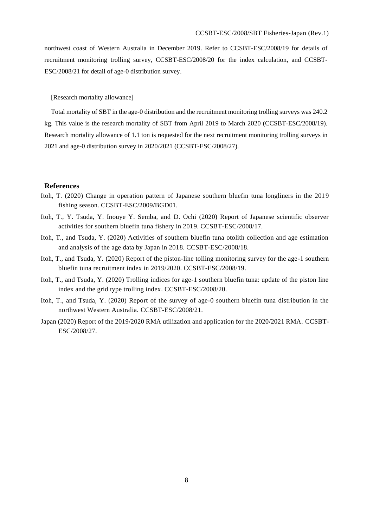northwest coast of Western Australia in December 2019. Refer to CCSBT-ESC/2008/19 for details of recruitment monitoring trolling survey, CCSBT-ESC/2008/20 for the index calculation, and CCSBT-ESC/2008/21 for detail of age-0 distribution survey.

#### [Research mortality allowance]

Total mortality of SBT in the age-0 distribution and the recruitment monitoring trolling surveys was 240.2 kg. This value is the research mortality of SBT from April 2019 to March 2020 (CCSBT-ESC/2008/19). Research mortality allowance of 1.1 ton is requested for the next recruitment monitoring trolling surveys in 2021 and age-0 distribution survey in 2020/2021 (CCSBT-ESC/2008/27).

#### **References**

- Itoh, T. (2020) Change in operation pattern of Japanese southern bluefin tuna longliners in the 2019 fishing season. CCSBT-ESC/2009/BGD01.
- Itoh, T., Y. Tsuda, Y. Inouye Y. Semba, and D. Ochi (2020) Report of Japanese scientific observer activities for southern bluefin tuna fishery in 2019. CCSBT-ESC/2008/17.
- Itoh, T., and Tsuda, Y. (2020) Activities of southern bluefin tuna otolith collection and age estimation and analysis of the age data by Japan in 2018. CCSBT-ESC/2008/18.
- Itoh, T., and Tsuda, Y. (2020) Report of the piston-line tolling monitoring survey for the age-1 southern bluefin tuna recruitment index in 2019/2020. CCSBT-ESC/2008/19.
- Itoh, T., and Tsuda, Y. (2020) Trolling indices for age-1 southern bluefin tuna: update of the piston line index and the grid type trolling index. CCSBT-ESC/2008/20.
- Itoh, T., and Tsuda, Y. (2020) Report of the survey of age-0 southern bluefin tuna distribution in the northwest Western Australia. CCSBT-ESC/2008/21.
- Japan (2020) Report of the 2019/2020 RMA utilization and application for the 2020/2021 RMA. CCSBT-ESC/2008/27.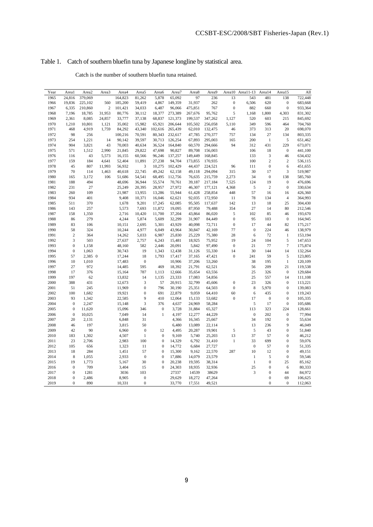# Table 1. Catch of southern bluefin tuna by Japanese longline by statistical area.

Catch is the number of southern bluefin tuna retained.

| Year | Areal            | Area2   | Area3            | Area4   | Area <sub>5</sub> | Area6            | Area7   | Area <sub>8</sub> | Area9   | Area10           | Area11-13               | Area14           | Area15           | All     |
|------|------------------|---------|------------------|---------|-------------------|------------------|---------|-------------------|---------|------------------|-------------------------|------------------|------------------|---------|
| 1965 | 24,816           | 379,069 |                  | 164,823 | 81,262            | 5,878            | 65,092  | 97                | 236     | 13               | 543                     | 481              | 138              | 722,448 |
| 1966 | 19,836           | 225,102 | 560              | 185,200 | 59,419            | 4,867            | 149,359 | 31,937            | 262     | $\boldsymbol{0}$ | 6,506                   | 620              | $\boldsymbol{0}$ | 683,668 |
| 1967 | 6,335            | 210,860 | $\boldsymbol{2}$ | 101,421 | 34,033            | 6,487            | 96,066  | 475,851           | 767     | $\boldsymbol{0}$ | 882                     | 660              | $\boldsymbol{0}$ | 933,364 |
| 1968 | 7,196            | 18,785  | 31,953           | 80,776  | 30,112            | 18,377           | 273,389 | 267,676           | 95,762  | 5                | 1,168                   | 1,800            | 4,303            | 831,302 |
| 1969 | 2,361            | 8,085   | 24,857           | 33,777  | 37,138            | 68,837           | 121,373 | 199,537           | 347,262 | 1,127            | 520                     | 603              | 215              | 845,692 |
| 1970 | 1,210            | 10,801  | 1,121            | 35,002  | 15,982            | 65,921           | 206,644 | 105,502           | 256,058 | 5,110            | 349                     | 596              | 464              | 704,760 |
| 1971 | 468              | 4,919   | 1,759            | 84,292  | 43,340            | 102,616          | 265,439 | 62,010            | 132,475 | 46               | 373                     | 313              | 20               | 698,070 |
| 1972 | 98               | 256     |                  | 100,216 | 70,591            | 80,343           | 232,617 | 47,785            | 270,377 | 757              | 134                     | 27               | 134              | 803,335 |
| 1973 | 254              | 1,221   | 14               | 90,142  | 39,597            | 30,713           | 126,254 | 67,893            | 295,003 | 165              | 200                     | $\mathbf{1}$     | 5                | 651,462 |
| 1974 | 904              | 3,821   | 43               | 70,003  | 40,634            | 36,524           | 164,840 | 60,570            | 294,666 | 94               | 312                     | 431              | 229              | 673,071 |
| 1975 | 571              | 1,512   | 2,990            | 21,845  | 29,822            | 47,698           | 90,827  | 89,708            | 156,003 |                  | 106                     | 18               | $\boldsymbol{0}$ | 441,100 |
| 1976 | 116              | 43      | 5,573            | 16,155  | 60,566            | 96,246           | 137,257 | 149,449           | 168,845 |                  | 133                     | 3                | 46               | 634,432 |
| 1977 | 159              | 184     | 4,641            | 52,404  | 11,891            | 27,238           | 94,704  | 173,855           | 170,935 |                  | 100                     | $\overline{c}$   | $\overline{c}$   | 536,115 |
| 1978 | 45               | 807     | 11,993           | 56,932  | 3                 | 10,275           | 102,429 | 44,437            | 224,521 | 96               | 111                     | $\boldsymbol{0}$ | 6                | 451,655 |
| 1979 | 70               | 114     | 1,463            | 40,618  | 22,745            | 49,242           | 62,158  | 49,118            | 294,094 | 315              | 30                      | 17               | 3                | 519,987 |
| 1980 | 165              | 3,172   | 106              | 51,686  | 54,541            | 68,495           | 112,756 | 76,635            | 215,759 | 2,273            | 34                      | $\boldsymbol{0}$ | 138              | 585,760 |
| 1981 | 188              | 494     |                  | 48,696  | 36,944            | 55,574           | 70,761  | 39,187            | 217,184 | 7,525            | 124                     | 19               | $\boldsymbol{0}$ | 476,696 |
| 1982 | 231              | 27      |                  | 25,249  | 20,395            | 28,957           | 27,972  | 46,307            | 177,121 | 4,368            | 5                       | $\overline{c}$   | $\boldsymbol{0}$ | 330,634 |
| 1983 | 260              | 109     |                  | 21,987  | 13,955            | 13,286           | 55,944  | 61,428            | 258,854 | 448              | 57                      | 16               | 16               | 426,360 |
| 1984 | 934              | 401     |                  | 9,408   | 10,371            | 16,046           | 62,621  | 92,035            | 172,950 | 11               | 78                      | 134              | $\overline{4}$   | 364,993 |
| 1985 | 511              | 370     |                  | 1,678   | 9,201             | 17,245           | 62,085  | 95,505            | 117,637 | 142              | 13                      | 18               | 25               | 304,430 |
| 1986 | 143              | 257     |                  | 5,573   | 7,693             | 11,872           | 19,095  | 87,950            | 79,488  | 354              | 27                      | 14               | 80               | 212,546 |
| 1987 | 158              | 1,350   |                  | 2,716   | 10,420            | 11,700           | 37,204  | 43,864            | 86,020  | 5                | 102                     | 85               | 46               | 193,670 |
| 1988 | 86               | 279     |                  | 4,244   | 5,874             | 5,609            | 32,299  | 31,907            | 84,449  | $\boldsymbol{0}$ | 95                      | 103              | $\boldsymbol{0}$ | 164,945 |
| 1989 | 83               | 106     |                  | 10,151  | 2,695             | 5,301            | 43,929  | 40,098            | 72,711  | $\boldsymbol{0}$ | 17                      | 44               | 82               | 175,217 |
| 1990 | 58               | 324     |                  | 10,244  | 4,977             | 6,049            | 43,964  | 30,847            | 42,169  | 77               | $\boldsymbol{0}$        | 224              | 46               | 138,979 |
| 1991 | $\overline{c}$   | 364     |                  | 14,262  | 5,033             | 6,987            | 25,830  | 25,229            | 75,380  | 28               | 6                       | 72               | $\mathbf{1}$     | 153,194 |
| 1992 | 3                | 503     |                  | 27,637  | 2,757             | 6,243            | 15,481  | 18,925            | 75,952  | 19               | 24                      | 104              | 5                | 147,653 |
| 1993 | $\boldsymbol{0}$ | 1,158   |                  | 48,160  | 582               | 2,446            | 20,091  | 5,842             | 97,490  | $\boldsymbol{0}$ | 21                      | 77               | $\boldsymbol{7}$ | 175,874 |
| 1994 | $\boldsymbol{0}$ | 1,063   |                  | 30,743  | 19                | 1,343            | 12,438  | 31,126            | 55,330  | 14               | 30                      | 144              | 14               | 132,264 |
| 1995 | 57               | 2,385 0 |                  | 17,244  | 18                | 1,793            | 17,417  | 37,165            | 47,421  | $\mathbf{0}$     | 241                     | 59               | 5                | 123,805 |
| 1996 | 10               | 1,010   |                  | 17,483  | $\boldsymbol{0}$  |                  | 10,906  | 37,206            | 53,260  |                  | 38                      | 195              | $\mathbf{1}$     | 120,109 |
| 1997 | 27               | 972     |                  | 14,485  | 595               | 469              | 18,392  | 21,791            | 62,521  |                  | 56                      | 209              | 21               | 119,538 |
| 1998 | 17               | 376     |                  | 15,164  | 787               | 1,113            | 12,666  | 35,654            | 63,556  |                  | 25                      | 326              | $\boldsymbol{0}$ | 129,684 |
| 1999 | 197              | 62      |                  | 13,832  | 14                | 1,135            | 23,333  | 17,083            | 54,856  |                  | 25                      | 557              | 14               | 111,108 |
| 2000 | 388              | 431     |                  | 12,673  | 3                 | 57               | 20,915  | 32,799            | 45,606  | $\boldsymbol{0}$ | 23                      | 326              | $\boldsymbol{0}$ | 113,221 |
| 2001 | 51               | 245     |                  | 11,969  | $\mathbf{0}$      | 796              | 30,190  | 25,351            | 64,503  | $\boldsymbol{0}$ | 8                       | 5,970            | $\boldsymbol{0}$ | 139,083 |
| 2002 | 100              | 1,682   |                  | 19,921  | $\overline{0}$    | 691              | 22,879  | 9,059             | 64,410  | 60               | 6                       | 435              | $\boldsymbol{0}$ | 119,243 |
| 2003 | 93               | 1,342   |                  | 22,585  | 9                 | 410              | 12,064  | 15,133            | 53,682  | $\mathbf{0}$     | 17                      | $\boldsymbol{0}$ | $\boldsymbol{0}$ | 105,335 |
| 2004 | $\boldsymbol{0}$ | 2,247   |                  | 15,148  | 3                 | 376              | 4,637   | 24,969            | 58,284  |                  | 5                       | 17               | $\boldsymbol{0}$ | 105,686 |
| 2005 | $\boldsymbol{0}$ | 11,620  |                  | 15,096  | 346               | $\boldsymbol{0}$ | 3,728   | 31,884            | 65,327  |                  | 113                     | 323              | 224              | 128,661 |
| 2006 | $\boldsymbol{0}$ | 10,025  |                  | 7,049   | 14                | 1                | 4,197   | 12,277            | 44,229  |                  | $\boldsymbol{0}$        | 202              | $\boldsymbol{0}$ | 77,994  |
| 2007 | 20               | 2,131   |                  | 6,848   | 31                |                  | 4,366   | 16,345            | 25,667  |                  | 34                      | 192              | $\boldsymbol{0}$ | 55,634  |
| 2008 | 46               | 197     |                  | 3,815   | 50                |                  | 6,480   | 13,089            | 22,114  |                  | 13                      | 236              | 9                | 46,049  |
| 2009 | 42               | 90      |                  | 6,960   | $\mathbf{0}$      | 12               | 4,495   | 20,287            | 19,901  | 5                | 5                       | 43               | $\boldsymbol{0}$ | 51,840  |
| 2010 | 183              | 1,302   |                  | 4,507   | $\mathbf{1}$      | $\overline{0}$   | 9,169   | 5,740             | 25,203  | 13               | 37                      | 57               | $\boldsymbol{0}$ | 46,212  |
| 2011 | 23               | 2,706   |                  | 2,983   | 100               | $\mathbf{0}$     | 14,329  | 6,792             | 31,410  | $\mathbf{1}$     | 33                      | 699              | $\boldsymbol{0}$ | 59,076  |
| 2012 | 105              | 656     |                  | 1,323   | 11                | $\boldsymbol{0}$ | 14,772  | 6,684             | 27,727  |                  | $\boldsymbol{0}$        | 57               | $\boldsymbol{0}$ | 51,335  |
| 2013 | 18               | 284     |                  | 1,451   | 57                | $\mathbf{0}$     | 15,300  | 9,162             | 22,570  | 287              | 10                      | 12               | $\boldsymbol{0}$ | 49,151  |
| 2014 | 8                | 1,055   |                  | 2,933   | $\mathbf{0}$      | $\overline{0}$   | 17,886  | 14,079            | 23,579  |                  | $\mathbf{1}$            | 5                | $\boldsymbol{0}$ | 59,546  |
| 2015 | 19               | 1,773   |                  | 5,167   | 30                | $\mathbf{0}$     | 20,238  | 19,595            | 38,314  |                  | $\mathbf{1}$            | $\mathbf{0}$     | 25               | 85,162  |
| 2016 | $\boldsymbol{0}$ | 709     |                  | 3,404   | 15                | $\overline{0}$   | 24,303  | 18,935            | 32,936  |                  | 25                      | $\mathbf{0}$     | 6                | 80,333  |
| 2017 | $\boldsymbol{0}$ | 1281    |                  | 3036    | 103               |                  | 27337   | 14539             | 38629   |                  | $\overline{\mathbf{3}}$ | $\overline{0}$   | 44               | 84,972  |
| 2018 | $\boldsymbol{0}$ | 2,486   |                  | 8,905   | $\boldsymbol{0}$  |                  | 29,629  | 18,272            | 47,264  |                  |                         | $\boldsymbol{0}$ | 69               | 106,625 |
| 2019 | $\boldsymbol{0}$ | 890     |                  | 10,331  | $\mathbf{0}$      |                  | 33,770  | 17,551            | 49,521  |                  |                         | $\boldsymbol{0}$ | $\boldsymbol{0}$ | 112,063 |
|      |                  |         |                  |         |                   |                  |         |                   |         |                  |                         |                  |                  |         |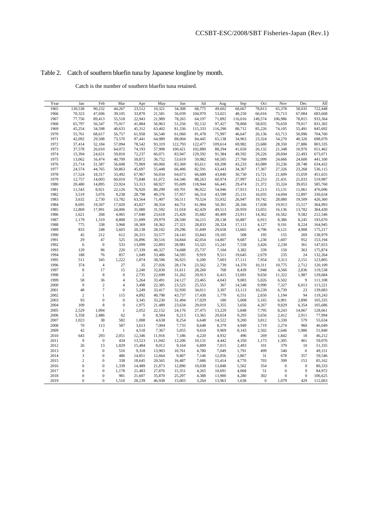# Table 2. Catch of southern bluefin tuna by Japanese longline by month.

Catch is the number of southern bluefin tuna retained.

| Year | Jan              | Feb              | Mar              | Apr              | May    | Jun     | Jul     | Aug     | Sep     | Oct            | Nov              | Dec              | All     |
|------|------------------|------------------|------------------|------------------|--------|---------|---------|---------|---------|----------------|------------------|------------------|---------|
| 1965 | 130,538          | 90,232           | 44,267           | 23,512           | 10,321 | 34,308  | 68,775  | 49,602  | 68,667  | 78,813         | 65,378           | 58,035           | 722,448 |
| 1966 | 70,323           | 47,696           | 39,105           | 33,870           | 21,581 | 56,039  | 104,970 | 53,021  | 48,250  | 66,016         | 75,713           | 67,084           | 683,668 |
| 1967 | 77,756           | 89,413           | 55,518           | 22,943           | 21,989 | 78,265  | 64,197  | 71,892  | 116,016 | 149,574        | 106,986          | 78,815           | 933,364 |
| 1968 | 65,797           | 56,547           | 75,917           | 41,884           | 56,963 | 51,256  | 92,132  | 97,427  | 78,868  | 58,835         | 76,659           | 79,017           | 831,302 |
| 1969 | 45,254           | 34,598           | 40,633           | 45,312           | 63,402 | 81,336  | 115,333 | 116,290 | 88,712  | 85,226         | 74,105           | 55,491           | 845,692 |
| 1970 | 55,761           | 68,617           | 56,757           | 61,958           | 56,540 | 61,060  | 81,478  | 75,997  | 46,647  | 26,136         | 63,713           | 50,096           | 704,760 |
| 1971 | 42,092           | 29,508           | 73,570           | 97,441           | 64,989 | 88,004  | 84,445  | 65,138  | 34,963  | 23,324         | 54,270           | 40,326           | 698,070 |
| 1972 | 37,414           | 32,184           | 57,094           | 78,542           | 93,319 | 122,793 | 122,477 | 109,614 | 69,982  | 23,680         | 28,350           | 27,886           | 803,335 |
| 1973 | 37,578           | 26,010           | 64,072           | 74,193           | 57,908 | 100,421 | 102,880 | 88,294  | 41,650  | 26,132         | 21,348           | 10,976           | 651,462 |
| 1974 | 15,394           | 24,631           | 59,810           | 72,237           | 66,071 | 83,947  | 129,592 | 91,384  | 49,592  | 29,226         | 28,694           | 22,493           | 673,071 |
| 1975 | 13,062           | 16,474           | 40,709           | 50,872           | 36,752 | 53,619  | 59,982  | 60,505  | 27,760  | 32,099         | 24,666           | 24,600           | 441,100 |
| 1976 | 25,714           | 31,587           | 56,608           | 75,969           | 60,060 | 83,369  | 83,611  | 69,208  | 43,233  | 43,089         | 33,236           | 28,748           | 634,432 |
| 1977 | 24,574           | 44,765           | 50,863           | 45,697           | 55,448 | 66,406  | 82,591  | 63,443  | 34,367  | 17,367         | 27,326           | 23,268           | 536,115 |
| 1978 | 17,524           | 18,317           | 33,492           | 67,967           | 56,034 | 64,673  | 66,689  | 43,840  | 30,730  | 15,721         | 21,609           | 15,059           | 451,655 |
| 1979 | 12,757           | 14,003           | 60,010           | 75,848           | 61,072 | 64,346  | 88,263  | 60,974  | 27,997  | 12,253         | 21,431           | 21,033           | 519,987 |
| 1980 | 20,480           | 14,895           | 23,924           | 53,313           | 68,927 | 95,609  | 118,944 | 66,445  | 29,474  | 21,372         | 33,324           | 39,053           | 585,760 |
| 1981 | 11,543           | 8,921            | 22,126           | 76,920           | 80,299 | 69,701  | 96,922  | 54,946  | 17,913  | 11,213         | 15,131           | 11,061           | 476,696 |
| 1982 | 3,519            | 3,076            | 9,238            | 28,798           | 49,376 | 57,957  | 66,314  | 43,599  | 25,131  | 16,035         | 14,694           | 12,897           | 330,634 |
| 1983 | 3,632            | 2,730            | 13,782           | 63,564           | 71,407 | 50,511  | 70,524  | 55,932  | 26,947  | 19,742         | 28,080           | 19,509           | 426,360 |
| 1984 | 8,695            | 19,507           | 17,020           | 43,827           | 38,354 | 44,751  | 61,904  | 50,301  | 28,166  | 17,038         | 19,913           | 15,517           | 364,993 |
| 1985 | 12,869           | 17,991           | 24,006           | 31,080           | 31,592 | 31,018  | 42,429  | 49,513  | 20,959  | 13,055         | 16,136           | 13,782           | 304,430 |
| 1986 | 1,621            | 268              | 4,065            | 17,040           | 23,618 | 25,426  | 35,682  | 40,409  | 23,911  | 14,362         | 16,562           | 9,582            | 212,546 |
| 1987 | 1,179            | 1,319            | 8,808            | 21,099           | 29,979 | 28,500  | 34,215  | 28,138  | 16,887  | 6,915          | 8,386            | 8,245            | 193,670 |
| 1988 | 775              | 338              | 3,968            | 18,369           | 18,362 | 27,321  | 28,833  | 28,324  | 17,113  | 4,127          | 9,191            | 8,224            | 164,945 |
| 1989 | 833              | 248              | 5,603            | 20,138           | 28,102 | 29,296  | 31,849  | 29,658  | 13,665  | 4,796          | 6,121            | 4,908            | 175,217 |
| 1990 | 45               | 212              | 612              | 26,315           | 33,577 | 24,143  | 33,843  | 19,105  | 508     | 195            | 155              | 269              | 138,979 |
| 1991 | 29               | 47               | 525              | 16,896           | 30,516 | 34,844  | 42,054  | 14,807  | 9,687   | 1,230          | 1,607            | 952              | 153,194 |
| 1992 | 6                | $\boldsymbol{0}$ | 533              | 13,099           | 22,893 | 28,981  | 53,325  | 15,241  | 7,558   | 3,426          | 2,230            | 361              | 147,653 |
| 1993 | 129              | 96               | 220              | 17,339           | 46,327 | 74,688  | 25,737  | 7,104   | 3,382   | 339            | 150              | 363              | 175,874 |
| 1994 | 188              | 76               | 857              | 1,049            | 33,486 | 54,595  | 9,919   | 9,511   | 19,645  | 2,679          | 235              | 24               | 132,264 |
| 1995 | 511              | 345              | 1,222            | 1,874            | 38,596 | 36,925  | 6,200   | 7,603   | 17,111  | 7,954          | 3,313            | 2,151            | 123,805 |
| 1996 | 374              | $\overline{4}$   | 27               | 35               | 27,026 | 28,174  | 23,562  | 2,739   | 14,370  | 10,311         | 10,775           | 2,712            | 120,109 |
| 1997 | $\,$ 8 $\,$      | 17               | 15               | 2,240            | 32,830 | 31,611  | 28,260  | 768     | 8,439   | 7,948          | 4,566            | 2,836            | 119,538 |
| 1998 | $\overline{c}$   | 8                | $\mathbf{0}$     | 2,735            | 22,699 | 31,262  | 29,913  | 6,415   | 13,691  | 9,650          | 11,322           | 1,987            | 129,684 |
| 1999 | 58               | 36               | $\overline{4}$   | 5,264            | 33,491 | 24,127  | 23,465  | 4,043   | 9,083   | 5,026          | 6,502            | 9                | 111,108 |
| 2000 | 9                | $\sqrt{2}$       | 4                | 3,498            | 22,385 | 23,525  | 25,553  | 367     | 14,548  | 9,990          | 7,327            | 6,013            | 113,221 |
| 2001 | 48               | $\tau$           | $\boldsymbol{0}$ | 5,249            | 33,417 | 32,930  | 34,011  | 3,307   | 13,113  | 10,239         | 6,739            | 23               | 139,083 |
| 2002 | $\overline{c}$   | $\mathbf{1}$     | 115              | 4,892            | 40,798 | 43,737  | 17,430  | 1,779   | 6,551   | 2,650          | 1,194            | 94               | 119,243 |
| 2003 | 93               | $\boldsymbol{0}$ | $\mathbf{0}$     | 3,345            | 33,230 | 31,494  | 17,029  | 180     | 5,008   | 5,165          | 6,901            | 2,890            | 105,335 |
| 2004 | 109              | $\,$ 8 $\,$      | $\boldsymbol{0}$ | 1,975            | 21,489 | 23,634  | 29,010  | 5,355   | 3,656   | 4,267          | 9,829            | 6,354            | 105,686 |
| 2005 | 2,529            | 1,094            | $\mathbf{1}$     | 2,052            | 22,152 | 24,176  | 27,475  | 13,229  | 5,848   | 7,795          | 8,243            | 14,067           | 128,661 |
| 2006 | 5,358            | 2,486            | 62               | $\boldsymbol{0}$ | 8,584  | 9,213   | 13,365  | 20,654  | 9,293   | 3,656          | 2,412            | 2,911            | 77,994  |
| 2007 | 1,023            | 38               | 582              | 1,008            | 4,638  | 8,254   | 6,648   | 14,522  | 9,200   | 3,812          | 5,330            | 579              | 55,634  |
| 2008 | 70               | 113              | 587              | 3,613            | 7,004  | 7,733   | 8,648   | 8,379   | 4,949   | 1,719          | 2,274            | 960              | 46,049  |
| 2009 | 42               | $\mathbf{1}$     | 1                | 4,518            | 7,367  | 5,055   | 9,610   | 9,969   | 8,143   | 2,502          | 2,646            | 1,986            | 51,840  |
| 2010 | 643              | 293              | 2,051            | 12,346           | 11,916 | 7,186   | 4,220   | 4,932   | 496     | 269            | 1,842            | 18               | 46,212  |
| 2011 | 9                | $\boldsymbol{0}$ | 434              | 13,523           | 11,042 | 12,206  | 10,131  | 4,442   | 4,350   | 1,173          | 1,305            | 461              | 59,076  |
| 2012 | 26               | 13               | 1,829            | 15,484           | 8,012  | 9,164   | 6,809   | 7,015   | 2,493   | 101            | 379              | 10               | 51,335  |
| 2013 | $\boldsymbol{0}$ | $\boldsymbol{0}$ | 510              | 9,318            | 13,903 | 10,761  | 4,780   | 7,049   | 1,791   | 499            | 540              | $\boldsymbol{0}$ | 49,151  |
| 2014 | 3                | $\boldsymbol{0}$ | 486              | 14,851           | 12,664 | 9,407   | 7,146   | 12,056  | 1,867   | 31             | 678              | 357              | 59,546  |
| 2015 | $\overline{c}$   | $\mathbf{0}$     | 338              | 18,645           | 20,565 | 16,487  | 7,686   | 15,414  | 4,770   | 703            | 399              | 153              | 85,162  |
| 2016 | $\overline{0}$   | $\boldsymbol{0}$ | 1,339            | 14,489           | 21,873 | 12,890  | 10,038  | 13,848  | 5,502   | 354            | $\mathbf{0}$     | $\boldsymbol{0}$ | 80,333  |
| 2017 | $\mathbf{0}$     | $\boldsymbol{0}$ | 1,178            | 21,483           | 27,876 | 15,351  | 4,265   | 10,691  | 4,068   | 51             | $\boldsymbol{0}$ | 9                | 84,972  |
| 2018 | $\boldsymbol{0}$ | $\mathbf{0}$     | 981              | 21,607           | 35,870 | 25,297  | 4,388   | 13,900  | 4,280   | 302            | $\mathbf{0}$     | $\mathbf{0}$     | 106,625 |
| 2019 | $\overline{0}$   | $\mathbf{0}$     | 1,510            | 28,239           | 46,938 | 15,003  | 3,264   | 13,963  | 1,638   | $\overline{0}$ | 1,079            | 429              | 112,063 |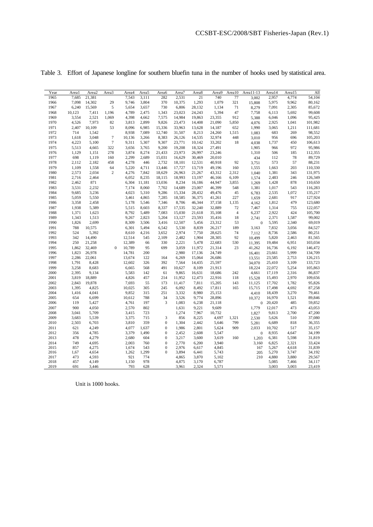| Year | Areal  | Area2  | Area <sub>3</sub> | Area4  | Area5  | Area6            | Area7  | Area8  | Area9  | Area10         | Area11-13        | Area14 | Area15 | All     |
|------|--------|--------|-------------------|--------|--------|------------------|--------|--------|--------|----------------|------------------|--------|--------|---------|
| 1965 | 7,685  | 21,381 |                   | 7,543  | 3,111  | 282              | 2,531  | 21     | 740    | 77             | 3,002            | 2,957  | 4,774  | 54,104  |
| 1966 | 7,098  | 14,302 | 29                | 9,746  | 3,804  | 370              | 10,375 | 1,293  | 1,079  | 321            | 15,808           | 5,975  | 9,962  | 80,162  |
| 1967 | 6,240  | 15,569 | 5                 | 5,654  | 3,657  | 730              | 6,806  | 28,132 | 1,134  | 71             | 8,279            | 7,091  | 2,305  | 85,672  |
| 1968 | 10,123 | 7,411  | 1,196             | 4,789  | 2,475  | 1,343            | 23,023 | 24,243 | 5,394  | 47             | 7,758            | 6,113  | 5,692  | 99,608  |
| 1969 | 3,554  | 2,521  | 1,069             | 4,398  | 4,662  | 7,575            | 14,984 | 19,863 | 23,355 | 912            | 5,388            | 6,046  | 1,096  | 95,425  |
| 1970 | 4,526  | 7,973  | 82                | 3,813  | 2,899  | 9,826            | 23,473 | 14,408 | 21,090 | 5,850          | 4,076            | 2,925  | 1,041  | 101,982 |
| 1971 | 2,407  | 10,109 | 53                | 8,096  | 6,985  | 15,336           | 33,963 | 13,628 | 14,187 | 652            | 1,990            | 3,065  | 1,211  | 111,681 |
| 1972 | 714    | 1,542  |                   | 8,938  | 7,089  | 12,740           | 31,507 | 8,213  | 24,260 | 1,515          | 1,083            | 683    | 269    | 98,552  |
| 1973 | 1,618  | 3,048  | $\overline{7}$    | 10,136 | 3,266  | 8,383            | 26,126 | 14,535 | 32,974 | 448            | 3,010            | 956    | 696    | 105,203 |
| 1974 | 4,223  | 5,100  | $\overline{7}$    | 9,311  | 5,307  | 9,307            | 23,771 | 10,142 | 33,202 | 18             | 4,038            | 1,737  | 450    | 106,613 |
| 1975 | 5,513  | 4,665  | 322               | 3,656  | 3,765  | 9,200            | 19,208 | 18,324 | 27,491 |                | 1,905            | 966    | 972    | 95,986  |
| 1976 | 1,129  | 1,151  | 278               | 3,874  | 8,274  | 21,433           | 23,973 | 26,997 | 23,246 |                | 1,310            | 506    | 185    | 112,355 |
| 1977 | 698    | 1,119  | 160               | 2,299  | 2,689  | 15,031           | 16,629 | 30,469 | 20,010 |                | 434              | 112    | 78     | 89,729  |
| 1978 | 2,112  | 2,182  | 458               | 4,278  | 446    | 2,732            | 18,101 | 12,531 | 40,918 | 92             | 3,751            | 573    | 57     | 88,231  |
| 1979 | 1,109  | 1,558  | 64                | 5,220  | 4,711  | 13,446           | 17,727 | 13,719 | 49,196 | 160            | 1,555            | 1,663  | 203    | 110,330 |
| 1980 | 2,573  | 2,034  | $\overline{c}$    | 4,276  | 7,842  | 18,629           | 26,963 | 21,267 | 43,312 | 2,312          | 1,040            | 1,381  | 343    | 131,975 |
| 1981 | 2,716  | 2,464  |                   | 6,052  | 8,235  | 18,115           | 18,993 | 13,197 | 46,166 | 6,109          | 1,574            | 2,483  | 246    | 126,349 |
| 1982 | 2,462  | 871    |                   | 6,304  | 11,181 | 13,036           | 8,234  | 16,186 | 44,947 | 3,855          | 1,269            | 1,428  | 878    | 110,650 |
| 1983 | 3,531  | 2,232  |                   | 7,174  | 8,060  | 7,702            | 14,689 | 23,007 | 46,399 | 548            | 1,381            | 1,017  | 543    | 116,283 |
| 1984 | 9,685  | 3,236  |                   | 4,023  | 5,310  | 9,286            | 15,334 | 28,432 | 49,476 | 45             | 6,783            | 2,535  | 1,072  | 135,217 |
| 1985 | 5,059  | 5,550  |                   | 3,461  | 4,865  | 7,285            | 18,585 | 36,375 | 41,261 | 227            | 1,659            | 2,681  | 917    | 127,924 |
| 1986 | 3,358  | 2,458  |                   | 5,178  | 5,546  | 7,346            | 8,706  | 46,344 | 37,158 | 1,135          | 4,162            | 1,812  | 479    | 123,680 |
| 1987 | 1,938  | 5,389  |                   | 5,515  | 8,603  | 8,337            | 17,535 | 32,240 | 32,889 | 72             | 7,467            | 1,314  | 755    | 122,057 |
| 1988 | 1,371  | 1,623  |                   | 8,792  | 5,489  | 7,083            | 15,030 | 21,618 | 35,108 | $\overline{4}$ | 6,237            | 2,922  | 424    | 105,700 |
| 1989 | 1,343  | 1,513  |                   | 9,267  | 2,823  | 5,204            | 13,127 | 23,593 | 35,416 | 18             | 2,741            | 2,371  | 1,587  | 99,002  |
| 1990 | 1,826  | 2,699  |                   | 8,309  | 3,506  | 3,416            | 12,507 | 5,456  | 23,312 | 53             | $\boldsymbol{0}$ | 5,595  | 2,340  | 69,019  |
| 1991 | 788    | 10,575 |                   | 6,301  | 5,494  | 6,542            | 5,530  | 8,839  | 26,217 | 189            | 3,163            | 7,832  | 3,056  | 84,527  |
| 1992 | 524    | 5,392  |                   | 8,610  | 4,216  | 3,652            | 2,974  | 7,750  | 28,625 | 74             | 7,112            | 8,736  | 2,586  | 80,251  |
| 1993 | 342    | 14,490 |                   | 12,514 | 545    | 2,109            | 2,482  | 1,904  | 28,305 | 92             | 10,499           | 5,820  | 2,463  | 81,565  |
| 1994 | 250    | 21,258 |                   | 12,389 | 66     | 330              | 2,221  | 5,478  | 22,683 | 530            | 11,395           | 19,484 | 6,951  | 103,034 |
| 1995 | 1,862  | 32,469 | $\theta$          | 10,789 | 95     | 699              | 3,059  | 11,972 | 21,314 | 23             | 41,262           | 16,736 | 6,192  | 146,472 |
| 1996 | 1,823  | 26,978 |                   | 14,781 | 200    |                  | 2,980  | 17,136 | 24,749 |                | 16,401           | 23,661 | 5,999  | 134,709 |
| 1997 | 2,286  | 22,061 |                   | 13,674 | 122    | 164              | 6,269  | 15,064 | 26,686 |                | 13,551           | 23,585 | 2,753  | 126,215 |
| 1998 | 1,791  | 8,428  |                   | 12,602 | 326    | 392              | 7,564  | 14,435 | 25,597 |                | 34,070           | 25,410 | 3,109  | 133,723 |
| 1999 | 3,258  | 8,683  |                   | 6,665  | 568    | 491              | 10,627 | 8,109  | 21,913 |                | 18,224           | 22,072 | 5,254  | 105,863 |
| 2000 | 2,395  | 9,134  |                   | 5,583  | 142    | 61               | 9,865  | 16,631 | 18,686 | 242            | 4,661            | 17,119 | 2,316  | 86,837  |
| 2001 | 3,819  | 18,889 |                   | 4,826  | 457    | 214              | 11,952 | 12,473 | 22,916 | 118            | 15,528           | 15,493 | 2,970  | 109,656 |
| 2002 | 2,843  | 19,878 |                   | 7,693  | 55     | 173              | 11,417 | 7,811  | 15,205 | 143            | 11,125           | 17,702 | 1,782  | 95,826  |
| 2003 | 1,395  | 4,825  |                   | 10,025 | 305    | 245              | 6,092  | 8,492  | 17,811 | 165            | 15,715           | 17,498 | 4,692  | 87,258  |
| 2004 | 1,416  | 4,041  |                   | 9,852  | 315    | 251              | 3,332  | 8,980  | 25,153 |                | 4,410            | 18,439 | 3,270  | 79,461  |
| 2005 | 654    | 6,699  |                   | 10,612 | 788    | 34               | 3,526  | 9,774  | 28,896 |                | 10,372           | 16,970 | 1,521  | 89,846  |
| 2006 | 119    | 5,427  |                   | 4,761  | 197    | 3                | 1,083  | 6,238  | 21,118 |                | $\mathbf{0}$     | 20,420 | 485    | 59,852  |
| 2007 | 900    | 4,050  |                   | 2,570  | 802    |                  | 1,631  | 9,221  | 9,609  |                | 1,779            | 12,017 | 473    | 43,053  |
| 2008 | 3,041  | 5,709  |                   | 3,415  | 723    |                  | 1,274  | 7,967  | 10,732 |                | 1,827            | 9,813  | 2,700  | 47,200  |
| 2009 | 3,683  | 5,539  |                   | 3,375  | 715    | 3                | 856    | 8,225  | 4,697  | 1,321          | 2,530            | 5,626  | 510    | 37,080  |
| 2010 | 2,503  | 6,703  |                   | 3,810  | 359    | $\overline{0}$   | 1,304  | 2,442  | 5,646  | 799            | 5,281            | 6,689  | 818    | 36,355  |
| 2011 | 621    | 4,249  |                   | 4,077  | 1,637  | $\overline{0}$   | 1,986  | 2,801  | 5,624  | 909            | 2.033            | 10,702 | 517    | 35,157  |
| 2012 | 356    | 4,785  |                   | 3,379  | 1,490  | $\boldsymbol{0}$ | 2,452  | 2,608  | 5,547  |                | $\boldsymbol{0}$ | 8,935  | 4,647  | 34,199  |
| 2013 | 478    | 4,279  |                   | 2,680  | 604    | $\boldsymbol{0}$ | 3,217  | 3,600  | 3,619  | 160            | 1,203            | 6,381  | 5,598  | 31,819  |
| 2014 | 749    | 4,695  |                   | 2,003  | 760    | $\overline{0}$   | 2,770  | 6,200  | 3,940  |                | 3,160            | 6,825  | 2,321  | 33,424  |
| 2015 | 857    | 4,275  |                   | 1,674  | 543    | $\overline{0}$   | 2,976  | 6,617  | 4,845  |                | 167              | 5,267  | 4,618  | 31,839  |
| 2016 | 1,67   | 4,654  |                   | 1,262  | 1,299  | $\theta$         | 3,894  | 6,441  | 5,743  |                | 205              | 5,270  | 3,747  | 34,192  |
| 2017 | 473    | 4,593  |                   | 921    | 774    |                  | 4,865  | 3,870  | 5,102  |                | 210              | 4,880  | 3,880  | 29,567  |
| 2018 | 457    | 4,149  |                   | 1,150  | 978    |                  | 4,875  | 3,170  | 6,787  |                |                  | 5,085  | 7,466  | 34,117  |
| 2019 | 691    | 3,446  |                   | 793    | 628    |                  | 3,961  | 2,324  | 5,571  |                |                  | 3,003  | 3,003  | 23,419  |

Table 3. Effort of Japanese longline for southern bluefin tuna in the number of hooks used by statistical area.

Unit is 1000 hooks.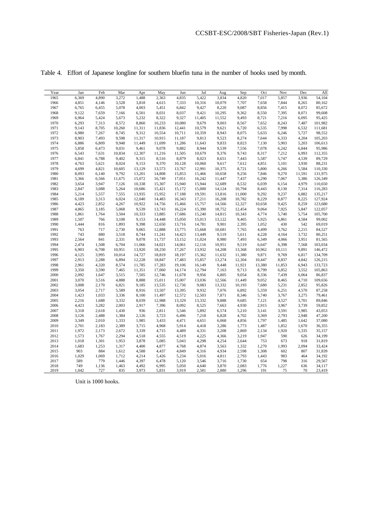| Year | Jan   | Feb   | Mar    | Apr    | May    | Jun    | Jul    | Aug    | Sep    | Oct    | Nov    | Dec    | All     |
|------|-------|-------|--------|--------|--------|--------|--------|--------|--------|--------|--------|--------|---------|
| 1965 | 6,369 | 4,890 | 3,272  | 1,488  | 2,363  | 4,835  | 5,422  | 3,834  | 4,820  | 7,017  | 5,857  | 3,936  | 54,104  |
| 1966 | 4,851 | 4,146 | 3,528  | 3,818  | 4,615  | 7,333  | 10,316 | 10,079 | 7,707  | 7,658  | 7,844  | 8,265  | 80,162  |
| 1967 | 6,765 | 6,455 | 5,078  | 4,003  | 5,451  | 6,842  | 9,427  | 8,220  | 9,087  | 8,856  | 7,415  | 8,072  | 85,672  |
| 1968 | 9,122 | 7,659 | 7,166  | 6,501  | 8,031  | 8,037  | 9,421  | 10,295 | 9,362  | 8,550  | 7,395  | 8,071  | 99,608  |
| 1969 | 6,964 | 5,424 | 5,673  | 5,232  | 8,322  | 9,327  | 11,405 | 11,552 | 9,493  | 8,721  | 7,216  | 6,095  | 95,425  |
| 1970 | 6,293 | 7,313 | 8,572  | 8,860  | 10,233 | 10,080 | 9,679  | 9,003  | 8,567  | 7,652  | 8,243  | 7,487  | 101,982 |
| 1971 | 9,143 | 8,705 | 10,260 | 11,311 | 11,836 | 12,441 | 10,579 | 9,621  | 6,720  | 6,535  | 7,998  | 6,532  | 111,681 |
| 1972 | 6,980 | 7,267 | 8,745  | 9,312  | 10,554 | 10,711 | 10,359 | 8,943  | 8,075  | 5,633  | 6,246  | 5,727  | 98,552  |
| 1973 | 8,903 | 7,493 | 9,598  | 11,317 | 10,915 | 11,187 | 9,813  | 9,523  | 8,274  | 7,644  | 6,333  | 4,204  | 105,203 |
| 1974 | 6,886 | 6,809 | 9,948  | 11,449 | 11,699 | 11,286 | 11,643 | 9,833  | 8,823  | 7,130  | 5,903  | 5,203  | 106,613 |
| 1975 | 5,858 | 6,473 | 9,031  | 9,461  | 9,078  | 9,882  | 8,944  | 9,539  | 7,556  | 7,078  | 6,242  | 6,844  | 95,986  |
| 1976 | 6,543 | 7,631 | 10,834 | 12,307 | 11,216 | 11,505 | 10,679 | 9,376  | 9,743  | 8,317  | 7,212  | 6,993  | 112,355 |
| 1977 | 6,841 | 6,788 | 9,402  | 9,315  | 8,516  | 8,879  | 8,023  | 8,651  | 7,443  | 5,587  | 5,747  | 4,539  | 89,729  |
| 1978 | 4,763 | 5,621 | 8,024  | 9,153  | 9,370  | 10,128 | 10,060 | 9,617  | 7,612  | 4,851  | 5,101  | 3,930  | 88,231  |
| 1979 | 4,699 | 4,821 | 10,605 | 13,129 | 13,573 | 13,767 | 12,991 | 10,375 | 8,721  | 5,800  | 6,266  | 5,584  | 110,330 |
| 1980 | 8,093 | 6,140 | 9,792  | 13,201 | 14,808 | 15,853 | 15,466 | 10,658 | 9,256  | 7,846  | 9,270  | 11,591 | 131,975 |
| 1981 | 5,366 | 6,566 | 11,675 | 15,072 | 16,749 | 17,051 | 16,242 | 11,447 | 7,437  | 6,290  | 7,067  | 5,386  | 126,349 |
| 1982 | 3,654 | 3,947 | 7,126  | 10,338 | 15,307 | 15,940 | 15,944 | 12,689 | 8,532  | 6,039  | 6,154  | 4,979  | 110,650 |
| 1983 | 2,847 | 3,088 | 5,264  | 10,686 | 15,421 | 15,172 | 15,000 | 14,124 | 10,794 | 8,443  | 8,130  | 7,314  | 116,283 |
| 1984 | 5,214 | 5,557 | 7,555  | 13,935 | 15,952 | 17,188 | 19,591 | 13,816 | 11,000 | 9,292  | 9,237  | 6,882  | 135,217 |
| 1985 | 6,189 | 3,313 | 6,024  | 12,040 | 14,483 | 16,343 | 17,211 | 16,208 | 10,782 | 8,229  | 8,877  | 8,225  | 127,924 |
| 1986 | 4,423 | 2,852 | 4,267  | 10,922 | 14,756 | 15,466 | 15,757 | 14,566 | 12,327 | 10,658 | 9,425  | 8,259  | 123,680 |
| 1987 | 4,865 | 3,185 | 5,068  | 9,539  | 13,743 | 16,224 | 15,390 | 18,752 | 12,454 | 9,064  | 7,925  | 5,847  | 122,057 |
| 1988 | 1,861 | 1,764 | 3,504  | 10,333 | 13,885 | 17,686 | 15,240 | 14,815 | 10,343 | 4,774  | 5,740  | 5,754  | 105,700 |
| 1989 | 1,507 | 766   | 3,108  | 9,153  | 14,448 | 15,050 | 15,013 | 13,122 | 9,465  | 5,925  | 6,861  | 4,584  | 99,002  |
| 1990 | 1,444 | 816   | 1,893  | 9,398  | 12,650 | 13,716 | 14,781 | 9,901  | 2,395  | 1,052  | 430    | 542    | 69,019  |
| 1991 | 763   | 717   | 2,730  | 9,065  | 12,888 | 13,775 | 15,668 | 10,681 | 7,765  | 4,499  | 3,762  | 2,215  | 84,527  |
| 1992 | 743   | 880   | 3,518  | 8,744  | 11,241 | 14,423 | 13,449 | 9,519  | 5,611  | 4,228  | 4,164  | 3,732  | 80,251  |
| 1993 | 2,564 | 841   | 2,331  | 9,078  | 11,737 | 13,152 | 11,024 | 8,980  | 7,493  | 6,349  | 4,066  | 3,951  | 81,565  |
| 1994 | 2,474 | 1,508 | 6,704  | 11,066 | 14,021 | 14,061 | 12,116 | 10,951 | 9,519  | 6,647  | 6,398  | 7,568  | 103,034 |
| 1995 | 6,903 | 6,708 | 10,951 | 13,920 | 18,250 | 17,267 | 13,932 | 14,208 | 13,368 | 10,962 | 10,111 | 9,891  | 146,472 |
| 1996 | 4,125 | 3,995 | 10,014 | 14,727 | 18,819 | 18,197 | 15,362 | 11,632 | 11,380 | 9,871  | 9,769  | 6,817  | 134,709 |
| 1997 | 2,913 | 2,288 | 6,894  | 12,228 | 18,847 | 17,483 | 15,857 | 13,274 | 12,304 | 10,447 | 8,837  | 4,842  | 126,215 |
| 1998 | 2,961 | 4,320 | 8,574  | 11,785 | 17,283 | 19,106 | 16,149 | 9,448  | 11,921 | 13,380 | 11,853 | 6,943  | 133,723 |
| 1999 | 3,350 | 3,590 | 7,465  | 11,351 | 17,060 | 14,174 | 12,794 | 7,163  | 9,713  | 8,799  | 6,852  | 3,552  | 105,863 |
| 2000 | 2,092 | 1,647 | 3,515  | 7,505  | 12,746 | 11,678 | 9,956  | 6,805  | 9,054  | 8,336  | 7,439  | 6,064  | 86,837  |
| 2001 | 3,070 | 3,516 | 4,888  | 8,888  | 15,011 | 15,007 | 13,036 | 12,566 | 11,449 | 9,052  | 8,465  | 4,710  | 109,656 |
| 2002 | 3,008 | 2,170 | 6,821  | 9,185  | 13,535 | 12,736 | 9,083  | 13,332 | 10,193 | 7,680  | 5,231  | 2,852  | 95,826  |
| 2003 | 3,054 | 2,717 | 5,589  | 8,916  | 13,507 | 13,395 | 9,932  | 7,076  | 6,892  | 5,359  | 6,251  | 4,570  | 87,258  |
| 2004 | 1,423 | 1,033 | 3,336  | 8,100  | 11,497 | 12,572 | 12,503 | 7,871  | 8,346  | 5,740  | 3,767  | 3,275  | 79,461  |
| 2005 | 2,216 | 1,688 | 3,332  | 8,039  | 12,988 | 13,329 | 13,332 | 9,888  | 9,685  | 7,121  | 4,527  | 3,701  | 89,846  |
| 2006 | 4,423 | 3,282 | 2,003  | 2,917  | 7,396  | 8,092  | 8,525  | 7,663  | 4,930  | 2,915  | 3,967  | 3,739  | 59,852  |
| 2007 | 3,318 | 2,618 | 1,430  | 936    | 2,811  | 5,546  | 5,892  | 6,574  | 5,210  | 3,141  | 3,591  | 1,985  | 43,053  |
| 2008 | 3,126 | 2,488 | 1,384  | 2,126  | 3,723  | 6,496  | 7,218  | 6,828  | 4,702  | 3,369  | 2,793  | 2,948  | 47,200  |
| 2009 | 3,349 | 2,010 | 1,333  | 1,985  | 3,433  | 4,471  | 4,651  | 6,068  | 4,856  | 1,797  | 1,485  | 1,642  | 37,080  |
| 2010 | 2,701 | 2,183 | 2,389  | 3,715  | 4,968  | 5,914  | 4,418  | 3,286  | 1,773  | 1,487  | 1,852  | 1,670  | 36,355  |
| 2011 | 1,972 | 2,173 | 2,672  | 3,339  | 4,715  | 4,489  | 4,331  | 3,208  | 2,869  | 2,134  | 1,920  | 1,335  | 35,157  |
| 2012 | 1,573 | 1,767 | 2,294  | 4,518  | 4,555  | 4,519  | 4,225  | 4,366  | 3,219  | 1,947  | 590    | 626    | 34,199  |
| 2013 | 1,018 | 1,301 | 1,953  | 3,878  | 5,085  | 5,043  | 4,298  | 4,254  | 2,644  | 753    | 673    | 918    | 31,819  |
| 2014 | 1,683 | 1,253 | 1,317  | 4,400  | 4,877  | 4,768  | 4,874  | 3,563  | 1,332  | 1,270  | 1,993  | 2,094  | 33,424  |
| 2015 | 903   | 884   | 1,612  | 4,588  | 4,437  | 4,849  | 4,316  | 4,934  | 2,598  | 1,308  | 602    | 807    | 31,839  |
| 2016 | 1,029 | 1,069 | 1,712  | 4,214  | 5,426  | 5,234  | 5,016  | 4,811  | 2,793  | 1,443  | 983    | 464    | 34,192  |
| 2017 | 589   | 779   | 1,446  | 4,397  | 6,478  | 5,120  | 3,546  | 3,716  | 1,730  | 654    | 798    | 316    | 29,567  |
| 2018 | 749   | 1,136 | 1,463  | 4,492  | 6,995  | 5,050  | 4,640  | 3,870  | 2,083  | 1,776  | 1,227  | 636    | 34,117  |
| 2019 | 1,042 | 727   | 835    | 3,973  | 5,831  | 3,919  | 2,581  | 2,880  | 1,296  | 191    | 75     | 70     | 23,419  |

Table 4. Effort of Japanese longline for southern bluefin tuna in the number of hooks used by month.

Unit is 1000 hooks.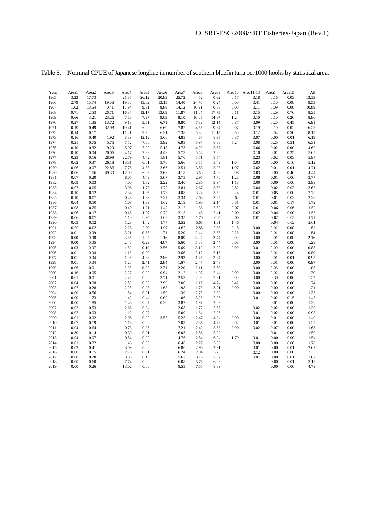| Year         | Areal        | Area2        | Area3 | Area4        | Area <sub>5</sub> | Area6 | Area7        | Area8        | Area9        | Area10 | Area11-13    | Area14       | Area15       | All          |
|--------------|--------------|--------------|-------|--------------|-------------------|-------|--------------|--------------|--------------|--------|--------------|--------------|--------------|--------------|
| 1965         | 3.23         | 17.73        |       | 21.85        | 26.12             | 20.83 | 25.72        | 4.52         | 0.32         | 0.17   | 0.18         | 0.16         | 0.03         | 13.35        |
| 1966         | 2.79         | 15.74        | 19.06 | 19.00        | 15.62             | 13.15 | 14.40        | 24.70        | 0.24         | 0.00   | 0.41         | 0.10         | 0.00         | 8.53         |
| 1967         | 1.02         | 13.54        | 0.41  | 17.94        | 9.31              | 8.88  | 14.12        | 16.91        | 0.68         | 0.00   | 0.11         | 0.09         | 0.00         | 10.89        |
| 1968         | 0.71         | 2.53         | 26.71 | 16.87        | 12.17             | 13.69 | 11.87        | 11.04        | 17.75        | 0.11   | 0.15         | 0.29         | 0.76         | 8.35         |
| 1969         | 0.66         | 3.21         | 23.26 | 7.68         | 7.97              | 9.09  | 8.10         | 10.05        | 14.87        | 1.24   | 0.10         | 0.10         | 0.20         | 8.86         |
| 1970         | 0.27         | 1.35         | 13.72 | 9.18         | 5.51              | 6.71  | 8.80         | 7.32         | 12.14        | 0.87   | 0.09         | 0.20         | 0.45         | 6.91         |
| 1971         | 0.19         | 0.49         | 32.98 | 10.41        | 6.20              | 6.69  | 7.82         | 4.55         | 9.34         | 0.07   | 0.19         | 0.10         | 0.02         | 6.25         |
| 1972         | 0.14         | 0.17         |       | 11.21        | 9.96              | 6.31  | 7.38         | 5.82         | 11.15        | 0.50   | 0.12         | 0.04         | 0.50         | 8.15         |
| 1973         | 0.16         | 0.40         | 1.92  | 8.89         | 12.12             | 3.66  | 4.83         | 4.67         | 8.95         | 0.37   | 0.07         | 0.00         | 0.01         | 6.19         |
| 1974         | 0.21         | 0.75         | 5.75  | 7.52         | 7.66              | 3.92  | 6.93         | 5.97         | 8.88         | 5.24   | 0.08         | 0.25         | 0.51         | 6.31         |
| 1975         | 0.10         | 0.32         | 9.29  | 5.97         | 7.92              | 5.18  | 4.73         | 4.90         | 5.67         |        | 0.06         | 0.02         | 0.00         | 4.60         |
| 1976         | 0.10         | 0.04         | 20.06 | 4.17         | 7.32              | 4.49  | 5.73         | 5.54         | 7.26         |        | 0.10         | 0.01         | 0.25         | 5.65         |
| 1977         | 0.23         | 0.16         | 28.99 | 22.79        | 4.42              | 1.81  | 5.70         | 5.71         | 8.54         |        | 0.23         | 0.02         | 0.03         | 5.97         |
| 1978         | 0.02         | 0.37         | 26.18 | 13.31        | 0.01              | 3.76  | 5.66         | 3.55         | 5.49         | 1.04   | 0.03         | 0.00         | 0.10         | 5.12         |
| 1979         | 0.06         | 0.07         | 22.86 | 7.78         | 4.83              | 3.66  | 3.51         | 3.58         | 5.98         | 1.97   | 0.02         | 0.01         | 0.01         | 4.71         |
| 1980         | 0.06         | 1.56         | 49.30 | 12.09        | 6.96              | 3.68  | 4.18         | 3.60         | 4.98         | 0.98   | 0.03         | 0.00         | 0.40         | 4.44         |
| 1981         | 0.07         | 0.20         |       | 8.05         | 4.49              | 3.07  | 3.73         | 2.97         | 4.70         | 1.23   | 0.08         | 0.01         | 0.00         | 3.77         |
| 1982         | 0.09         | 0.03         |       | 4.00         | 1.82              | 2.22  | 3.40         | 2.86         | 3.94         | 1.13   | 0.00         | 0.00         | 0.00         | 2.99         |
| 1983         | 0.07         | 0.05         |       | 3.06         | 1.73              | 1.72  | 3.81         | 2.67         | 5.58         | 0.82   | 0.04         | 0.02         | 0.03         | 3.67         |
| 1984         | 0.10         | 0.12         |       | 2.34         | 1.95              | 1.73  | 4.08         | 3.24         | 3.50         | 0.24   | 0.01         | 0.05         | 0.00         | 2.70         |
| 1985         | 0.10         | 0.07         |       | 0.48         | 1.89              | 2.37  | 3.34         | 2.63         | 2.85         | 0.62   | 0.01         | 0.01         | 0.03         | 2.38         |
| 1986         | 0.04         | 0.10         |       | 1.08         | 1.39              | 1.62  | 2.19         | 1.90         | 2.14         | 0.31   | 0.01         | 0.01         | 0.17         | 1.72         |
| 1987         | 0.08         | 0.25         |       | 0.49         | 1.21              | 1.40  | 2.12         | 1.36         | 2.62         | 0.07   | 0.01         | 0.06         | 0.06         | 1.59         |
| 1988         | 0.06         | 0.17         |       | 0.48         | 1.07              | 0.79  | 2.15         | 1.48         | 2.41         | 0.00   | 0.02         | 0.04         | 0.00         | 1.56         |
| 1989         | 0.06         | 0.07         |       | 1.10         | 0.95              | 1.02  | 3.35         | 1.70         | 2.05         | 0.00   | 0.01         | 0.02         | 0.05         | 1.77         |
| 1990         | 0.03         | 0.12         |       | 1.23         | 1.42              | 1.77  | 3.52         | 5.65         | 1.81         | 1.46   |              | 0.04         | 0.02         | 2.01         |
| 1991         | 0.00         | 0.03         |       | 2.26         | 0.92              | 1.07  | 4.67         | 2.85         | 2.88         | 0.15   | 0.00         | 0.01         | 0.00         | 1.81         |
| 1992         | 0.01         | 0.09         |       | 3.21         | 0.65              | 1.71  | 5.20         | 2.44         | 2.65         | 0.26   | 0.00         | 0.01         | 0.00         | 1.84         |
| 1993         | 0.00         | 0.08         |       | 3.85         | 1.07              | 1.16  | 8.09         | 3.07         | 3.44         | 0.00   | 0.00         | 0.01         | 0.00         | 2.16         |
| 1994         | 0.00         | 0.05         |       | 2.48         | 0.29              | 4.07  | 5.60         | 5.68         | 2.44         | 0.03   | 0.00         | 0.01         | 0.00         | 1.28         |
| 1995         | 0.03         | 0.07         |       | 1.60         | 0.19              | 2.56  | 5.69         | 3.10         | 2.22         | 0.00   | 0.01         | 0.00         | 0.00         | 0.85         |
| 1996         | 0.01         | 0.04         |       | 1.18         | 0.00              |       | 3.66         | 2.17         | 2.15         |        | 0.00         | 0.01         | 0.00         | 0.89         |
| 1997         | 0.01         | 0.04         |       | 1.06         | 4.88              | 2.86  | 2.93         | 1.45         | 2.34         |        | 0.00         | 0.01         | 0.01         | 0.95         |
| 1998         | 0.01         | 0.04         |       | 1.20         | 2.41              | 2.84  | 1.67         | 2.47         | 2.48         |        | 0.00         | 0.01         | 0.00         | 0.97         |
| 1999         | 0.06         | 0.01         |       | 2.08         | 0.02              | 2.31  | 2.20         | 2.11         | 2.50         |        | 0.00         | 0.03         | 0.00         | 1.05         |
| 2000         | 0.16         | 0.05         |       | 2.27         | 0.02              | 0.94  | 2.12         | 1.97         | 2.44         | 0.00   | 0.00         | 0.02         | 0.00         | 1.30         |
| 2001         | 0.01         | 0.01         |       | 2.48         | 0.00              | 3.71  | 2.53         | 2.03         | 2.81         | 0.00   | 0.00         | 0.39         | 0.00         | 1.27         |
| 2002         | 0.04         | 0.08         |       | 2.59         | 0.00              | 3.99  | 2.00         | 1.16         | 4.24         | 0.42   | 0.00         | 0.02         | 0.00         | 1.24         |
| 2003         | 0.07         | 0.28         |       | 2.25         | 0.03              | 1.68  | 1.98         | 1.78         | 3.01         | 0.00   | 0.00         | 0.00         | 0.00         | 1.21         |
| 2004         | 0.00         | 0.56         |       | 1.54         | 0.01              | 1.50  | 1.39         | 2.78         | 2.32         |        | 0.00         | 0.00         | 0.00         | 1.33         |
| 2005         | 0.00         | 1.73         |       | 1.42         | 0.44              | 0.00  | 1.06         | 3.26         | 2.26         |        | 0.01         | 0.02         | 0.15         | 1.43         |
| 2006         | 0.00         | 1.85         |       | 1.48         | 0.07              | 0.30  | 3.87         | 1.97         | 2.09         |        |              | 0.01         | 0.00         | 1.30         |
| 2007         | 0.02         | 0.53         |       | 2.66         | 0.04              |       | 2.68         | 1.77         | 2.67         |        | 0.02         | 0.02         | 0.00         | 1.29         |
| 2008         | 0.02         | 0.03         |       | 1.12         | 0.07              |       | 5.09         | 1.64         | 2.06         |        | 0.01         | 0.02         | 0.00         | 0.98         |
| 2009         | 0.01         | 0.02         |       | 2.06         | 0.00              | 3.55  | 5.25         | 2.47         | 4.24         | 0.00   | 0.00         | 0.01         | 0.00         | 1.40         |
| 2010         | 0.07         | 0.19         |       | 1.18         | 0.00              |       | 7.03         | 2.35         | 4.46         | 0.02   | 0.01         | 0.01         | 0.00         | 1.27         |
| 2011         | 0.04         | 0.64         |       | 0.73         | 0.06              |       | 7.21         | 2.42         | 5.58         | 0.00   | 0.02         | 0.07         | 0.00         | 1.68         |
| 2012         | 0.30         | 0.14         |       | 0.39         | 0.01              |       | 6.03         | 2.56         | 5.00         |        |              | 0.01         | 0.00         | 1.50         |
| 2013         | 0.04         | 0.07         |       | 0.54         | 0.09              |       | 4.76         | 2.54         | 6.24         | 1.79   | 0.01         | 0.00         | 0.00         | 1.54         |
| 2014         | 0.01         | 0.22         |       | 1.46         | 0.00              |       | 6.46         | 2.27         | 5.98         |        | 0.00         | 0.00         | 0.00         | 1.78         |
| 2015<br>2016 | 0.02<br>0.00 | 0.41<br>0.15 |       | 3.09<br>2.70 | 0.06<br>0.01      |       | 6.80<br>6.24 | 2.96<br>2.94 | 7.91<br>5.73 |        | 0.01         | 0.00<br>0.00 | 0.01<br>0.00 | 2.67<br>2.35 |
| 2017         | 0.00         | 0.28         |       | 3.30         | 0.13              |       | 5.62         | 3.76         | 7.57         |        | 0.12<br>0.01 | 0.00         | 0.01         | 2.87         |
| 2018         | 0.00         | 0.60         |       | 7.74         | 0.00              |       | 6.08         | 5.76         | 6.96         |        |              | 0.00         | 0.01         | 3.13         |
| 2019         | 0.00         | 0.26         |       | 13.02        | 0.00              |       | 8.53         | 7.55         | 8.89         |        |              | 0.00         | 0.00         | 4.79         |
|              |              |              |       |              |                   |       |              |              |              |        |              |              |              |              |

Table 5. Nominal CPUE of Japanese longline in number of southern bluefin tuna per1000 hooks by statistical area.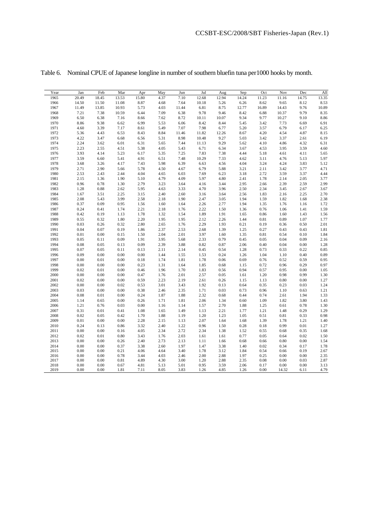| Year | Jan   | Feb      | Mar      | Apr      | May  | Jun   | Jul   | Aug   | Sep   | Oct   | Nov      | Dec   | All              |
|------|-------|----------|----------|----------|------|-------|-------|-------|-------|-------|----------|-------|------------------|
| 1965 | 20.49 | 18.45    | 13.53    | 15.80    | 4.37 | 7.10  | 12.68 | 12.94 | 14.24 | 11.23 | 11.16    | 14.75 | 13.35            |
| 1966 | 14.50 | 11.50    | 11.08    | 8.87     | 4.68 | 7.64  | 10.18 | 5.26  | 6.26  | 8.62  | 9.65     | 8.12  | 8.53             |
| 1967 | 11.49 | 13.85    | 10.93    | 5.73     | 4.03 | 11.44 | 6.81  | 8.75  | 12.77 | 16.89 | 14.43    | 9.76  | 10.89            |
| 1968 | 7.21  | 7.38     | 10.59    | 6.44     | 7.09 | 6.38  | 9.78  | 9.46  | 8.42  | 6.88  | 10.37    | 9.79  | 8.35             |
| 1969 | 6.50  | 6.38     | 7.16     | 8.66     | 7.62 | 8.72  | 10.11 | 10.07 | 9.34  | 9.77  | 10.27    | 9.10  | 8.86             |
| 1970 | 8.86  | 9.38     | 6.62     | 6.99     | 5.53 | 6.06  | 8.42  | 8.44  | 5.45  | 3.42  | 7.73     | 6.69  | 6.91             |
| 1971 | 4.60  | 3.39     | 7.17     | 8.61     | 5.49 | 7.07  | 7.98  | 6.77  | 5.20  | 3.57  | 6.79     | 6.17  | 6.25             |
| 1972 | 5.36  | 4.43     | 6.53     | 8.43     | 8.84 | 11.46 | 11.82 | 12.26 | 8.67  | 4.20  | 4.54     | 4.87  | 8.15             |
| 1973 | 4.22  | 3.47     | 6.68     | 6.56     | 5.31 | 8.98  | 10.48 | 9.27  | 5.03  | 3.42  | 3.37     | 2.61  | 6.19             |
| 1974 | 2.24  | 3.62     | 6.01     | 6.31     | 5.65 | 7.44  | 11.13 | 9.29  | 5.62  | 4.10  | 4.86     | 4.32  | 6.31             |
| 1975 | 2.23  | 2.55     | 4.51     | 5.38     | 4.05 | 5.43  | 6.71  | 6.34  | 3.67  | 4.53  | 3.95     | 3.59  | 4.60             |
| 1976 | 3.93  | 4.14     | 5.23     | 6.17     | 5.35 | 7.25  | 7.83  | 7.38  | 4.44  | 5.18  | 4.61     | 4.11  | 5.65             |
| 1977 | 3.59  | 6.60     | 5.41     | 4.91     | 6.51 | 7.48  | 10.29 | 7.33  | 4.62  | 3.11  | 4.76     | 5.13  | 5.97             |
| 1978 | 3.68  | 3.26     | 4.17     | 7.43     | 5.98 | 6.39  | 6.63  | 4.56  | 4.04  | 3.24  | 4.24     | 3.83  | 5.12             |
| 1979 | 2.71  | 2.90     | 5.66     | 5.78     | 4.50 | 4.67  | 6.79  | 5.88  | 3.21  | 2.11  | 3.42     | 3.77  | 4.71             |
| 1980 | 2.53  | 2.43     | 2.44     | 4.04     | 4.65 | 6.03  | 7.69  | 6.23  | 3.18  | 2.72  | 3.59     | 3.37  | 4.44             |
| 1981 | 2.15  | 1.36     | 1.90     | 5.10     | 4.79 | 4.09  | 5.97  | 4.80  | 2.41  | 1.78  | 2.14     | 2.05  | 3.77             |
| 1982 | 0.96  | 0.78     | 1.30     | 2.79     | 3.23 | 3.64  | 4.16  | 3.44  | 2.95  | 2.66  | 2.39     | 2.59  | 2.99             |
| 1983 | 1.28  | $0.88\,$ | 2.62     | 5.95     | 4.63 | 3.33  | 4.70  | 3.96  | 2.50  | 2.34  | 3.45     | 2.67  | 3.67             |
| 1984 | 1.67  | 3.51     | 2.25     | 3.15     | 2.40 | 2.60  | 3.16  | 3.64  | 2.56  | 1.83  | 2.16     | 2.25  | 2.70             |
| 1985 | 2.08  | 5.43     | 3.99     | 2.58     | 2.18 | 1.90  | 2.47  | 3.05  | 1.94  | 1.59  | 1.82     | 1.68  | 2.38             |
| 1986 | 0.37  | 0.09     | 0.95     | 1.56     | 1.60 | 1.64  | 2.26  | 2.77  | 1.94  | 1.35  | 1.76     | 1.16  | 1.72             |
| 1987 | 0.24  | 0.41     | 1.74     | 2.21     | 2.18 | 1.76  | 2.22  | 1.50  | 1.36  | 0.76  | 1.06     | 1.41  | 1.59             |
| 1988 | 0.42  | 0.19     | 1.13     | 1.78     | 1.32 | 1.54  | 1.89  | 1.91  | 1.65  | 0.86  | 1.60     | 1.43  | 1.56             |
| 1989 | 0.55  | 0.32     | 1.80     | 2.20     | 1.95 | 1.95  | 2.12  | 2.26  | 1.44  | 0.81  | 0.89     | 1.07  | 1.77             |
| 1990 | 0.03  | 0.26     | 0.32     | 2.80     | 2.65 | 1.76  | 2.29  | 1.93  | 0.21  | 0.19  | 0.36     | 0.50  | 2.01             |
| 1991 | 0.04  | 0.07     | 0.19     | 1.86     | 2.37 | 2.53  | 2.68  | 1.39  | 1.25  | 0.27  | 0.43     | 0.43  | 1.81             |
| 1992 | 0.01  | 0.00     | 0.15     | 1.50     | 2.04 | 2.01  | 3.97  | 1.60  | 1.35  | 0.81  | 0.54     | 0.10  | 1.84             |
| 1993 | 0.05  | 0.11     | 0.09     | 1.91     | 3.95 | 5.68  | 2.33  | 0.79  | 0.45  | 0.05  | 0.04     | 0.09  | 2.16             |
| 1994 | 0.08  | 0.05     | 0.13     | 0.09     | 2.39 | 3.88  | 0.82  | 0.87  | 2.06  | 0.40  | 0.04     | 0.00  | 1.28             |
| 1995 | 0.07  | 0.05     | 0.11     | 0.13     | 2.11 | 2.14  | 0.45  | 0.54  | 1.28  | 0.73  | 0.33     | 0.22  | 0.85             |
| 1996 | 0.09  | $0.00\,$ | $0.00\,$ | $0.00\,$ | 1.44 | 1.55  | 1.53  | 0.24  | 1.26  | 1.04  | 1.10     | 0.40  | 0.89             |
| 1997 | 0.00  | 0.01     | $0.00\,$ | 0.18     | 1.74 | 1.81  | 1.78  | 0.06  | 0.69  | 0.76  | 0.52     | 0.59  | 0.95             |
| 1998 | 0.00  | 0.00     | $0.00\,$ | 0.23     | 1.31 | 1.64  | 1.85  | 0.68  | 1.15  | 0.72  | 0.96     | 0.29  | 0.97             |
| 1999 | 0.02  | 0.01     | $0.00\,$ | 0.46     | 1.96 | 1.70  | 1.83  | 0.56  | 0.94  | 0.57  | 0.95     | 0.00  | 1.05             |
| 2000 | 0.00  | 0.00     | $0.00\,$ | 0.47     | 1.76 | 2.01  | 2.57  | 0.05  | 1.61  | 1.20  | 0.98     | 0.99  | 1.30             |
| 2001 | 0.02  | 0.00     | $0.00\,$ | 0.59     | 2.23 | 2.19  | 2.61  | 0.26  | 1.15  | 1.13  | 0.80     | 0.00  | 1.27             |
| 2002 | 0.00  | 0.00     | 0.02     | 0.53     | 3.01 | 3.43  | 1.92  | 0.13  | 0.64  | 0.35  | 0.23     | 0.03  | 1.24             |
| 2003 | 0.03  | 0.00     | $0.00\,$ | 0.38     | 2.46 | 2.35  | 1.71  | 0.03  | 0.73  | 0.96  | 1.10     | 0.63  | 1.21             |
| 2004 | 0.08  | 0.01     | $0.00\,$ | 0.24     | 1.87 | 1.88  | 2.32  | 0.68  | 0.44  | 0.74  | 2.61     | 1.94  | 1.33             |
| 2005 | 1.14  | 0.65     | 0.00     | 0.26     | 1.71 | 1.81  | 2.06  | 1.34  | 0.60  | 1.09  | 1.82     | 3.80  | 1.43             |
| 2006 | 1.21  | 0.76     | 0.03     | $0.00\,$ | 1.16 | 1.14  | 1.57  | 2.70  | 1.88  | 1.25  | 0.61     | 0.78  | 1.30             |
| 2007 | 0.31  | 0.01     | 0.41     | 1.08     | 1.65 | 1.49  | 1.13  | 2.21  | 1.77  | 1.21  | 1.48     | 0.29  | 1.29             |
| 2008 | 0.02  | 0.05     | 0.42     | 1.70     | 1.88 | 1.19  | 1.20  | 1.23  | 1.05  | 0.51  | 0.81     | 0.33  | 0.98             |
| 2009 | 0.01  | $0.00\,$ | $0.00\,$ | 2.28     | 2.15 | 1.13  | 2.07  | 1.64  | 1.68  | 1.39  | 1.78     | 1.21  | 1.40             |
| 2010 | 0.24  | 0.13     | 0.86     | 3.32     | 2.40 | 1.22  | 0.96  | 1.50  | 0.28  | 0.18  | 0.99     | 0.01  | 1.27             |
| 2011 | 0.00  | 0.00     | 0.16     | 4.05     | 2.34 | 2.72  | 2.34  | 1.38  | 1.52  | 0.55  | 0.68     | 0.35  | 1.68             |
| 2012 | 0.02  | 0.01     | 0.80     | 3.43     | 1.76 | 2.03  | 1.61  | 1.61  | 0.77  | 0.05  | 0.64     | 0.02  | 1.50             |
| 2013 | 0.00  | 0.00     | 0.26     | 2.40     | 2.73 | 2.13  | 1.11  | 1.66  | 0.68  | 0.66  | 0.80     | 0.00  | 1.54             |
| 2014 | 0.00  | 0.00     | 0.37     | 3.38     | 2.60 | 1.97  | 1.47  | 3.38  | 1.40  | 0.02  | 0.34     | 0.17  | 1.78             |
| 2015 | 0.00  | 0.00     | 0.21     | 4.06     | 4.64 | 3.40  | 1.78  | 3.12  | 1.84  | 0.54  | 0.66     | 0.19  | $2.67$<br>$2.35$ |
| 2016 | 0.00  | 0.00     | 0.78     | 3.44     | 4.03 | 2.46  | 2.00  | 2.88  | 1.97  | 0.25  | 0.00     | 0.00  |                  |
| 2017 | 0.00  | 0.00     | 0.81     | 4.89     | 4.30 | 3.00  | 1.20  | 2.88  | 2.35  | 0.08  | 0.00     | 0.03  | 2.87             |
| 2018 | 0.00  | 0.00     | 0.67     | 4.81     | 5.13 | 5.01  | 0.95  | 3.59  | 2.06  | 0.17  | $0.00\,$ | 0.00  | 3.13             |
| 2019 | 0.00  | 0.00     | 1.81     | 7.11     | 8.05 | 3.83  | 1.26  | 4.85  | 1.26  | 0.00  | 14.32    | 6.11  | 4.79             |

Table 6. Nominal CPUE of Japanese longline in number of southern bluefin tuna per1000 hooks by month.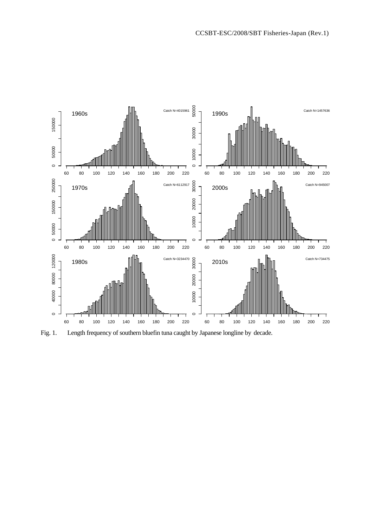

Fig. 1. Length frequency of southern bluefin tuna caught by Japanese longline by decade.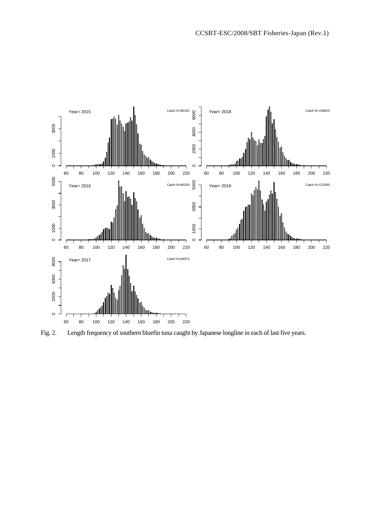

Fig. 2. Length frequency of southern bluefin tuna caught by Japanese longline in each of last five years.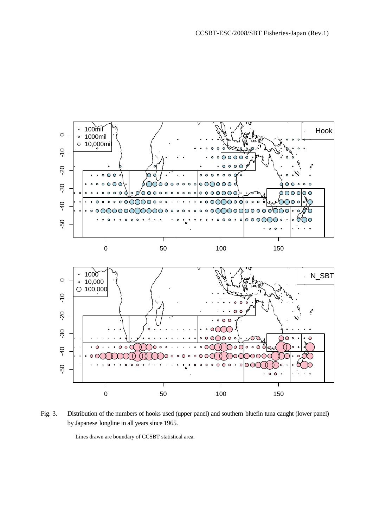

Fig. 3. Distribution of the numbers of hooks used (upper panel) and southern bluefin tuna caught (lower panel) by Japanese longline in all years since 1965.

Lines drawn are boundary of CCSBT statistical area.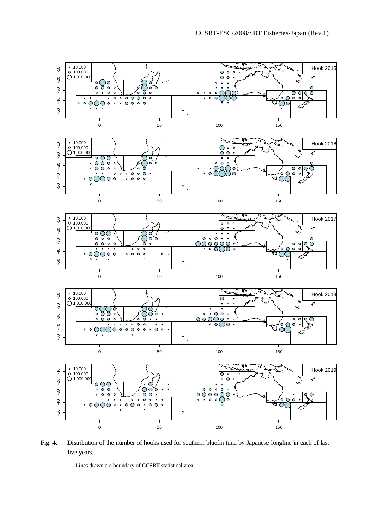

Fig. 4. Distribution of the number of hooks used for southern bluefin tuna by Japanese longline in each of last five years.

Lines drawn are boundary of CCSBT statistical area.